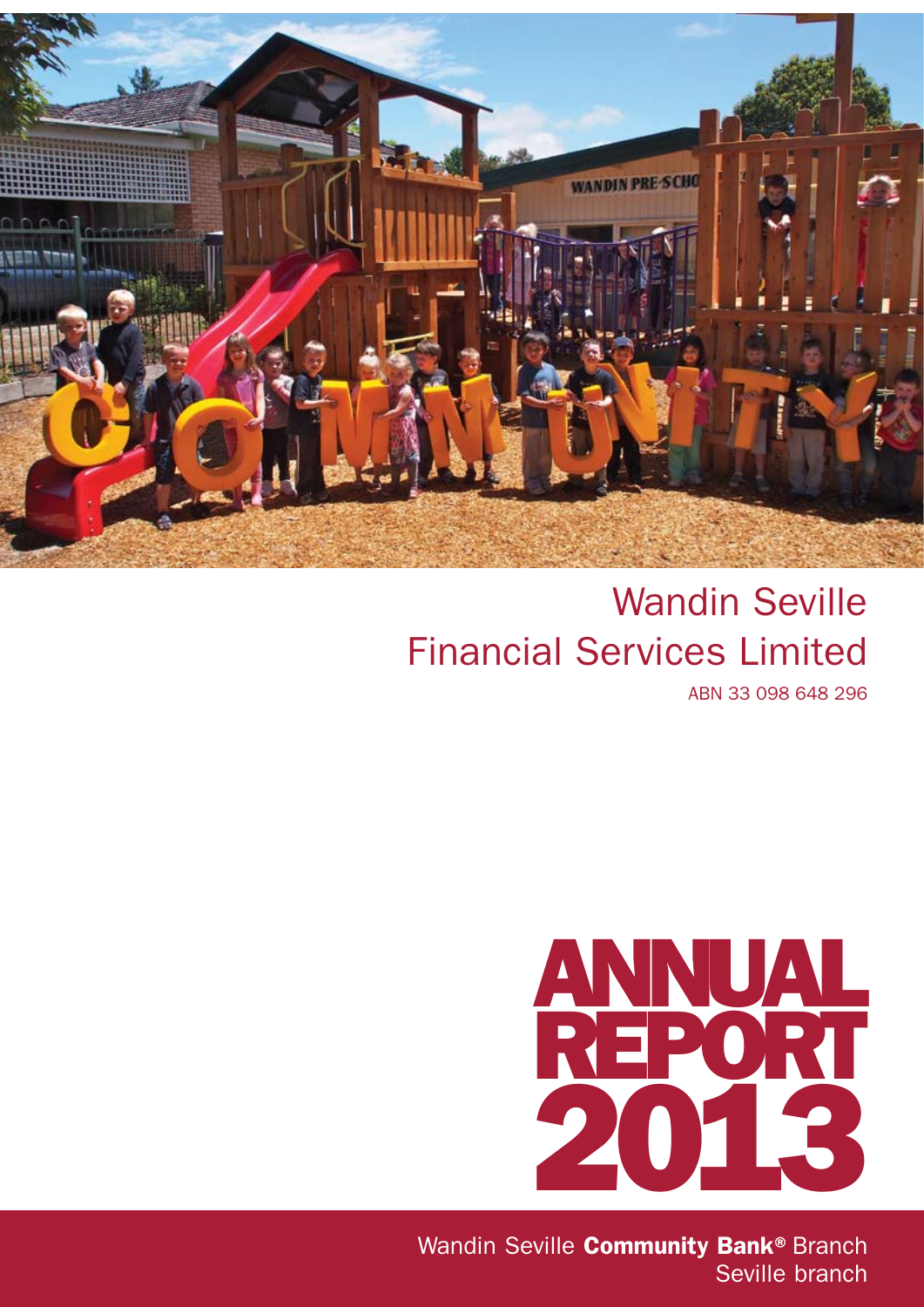

# Wandin Seville Financial Services Limited

ABN 33 098 648 296



Wandin Seville Community Bank<sup>®</sup> Branch Seville branch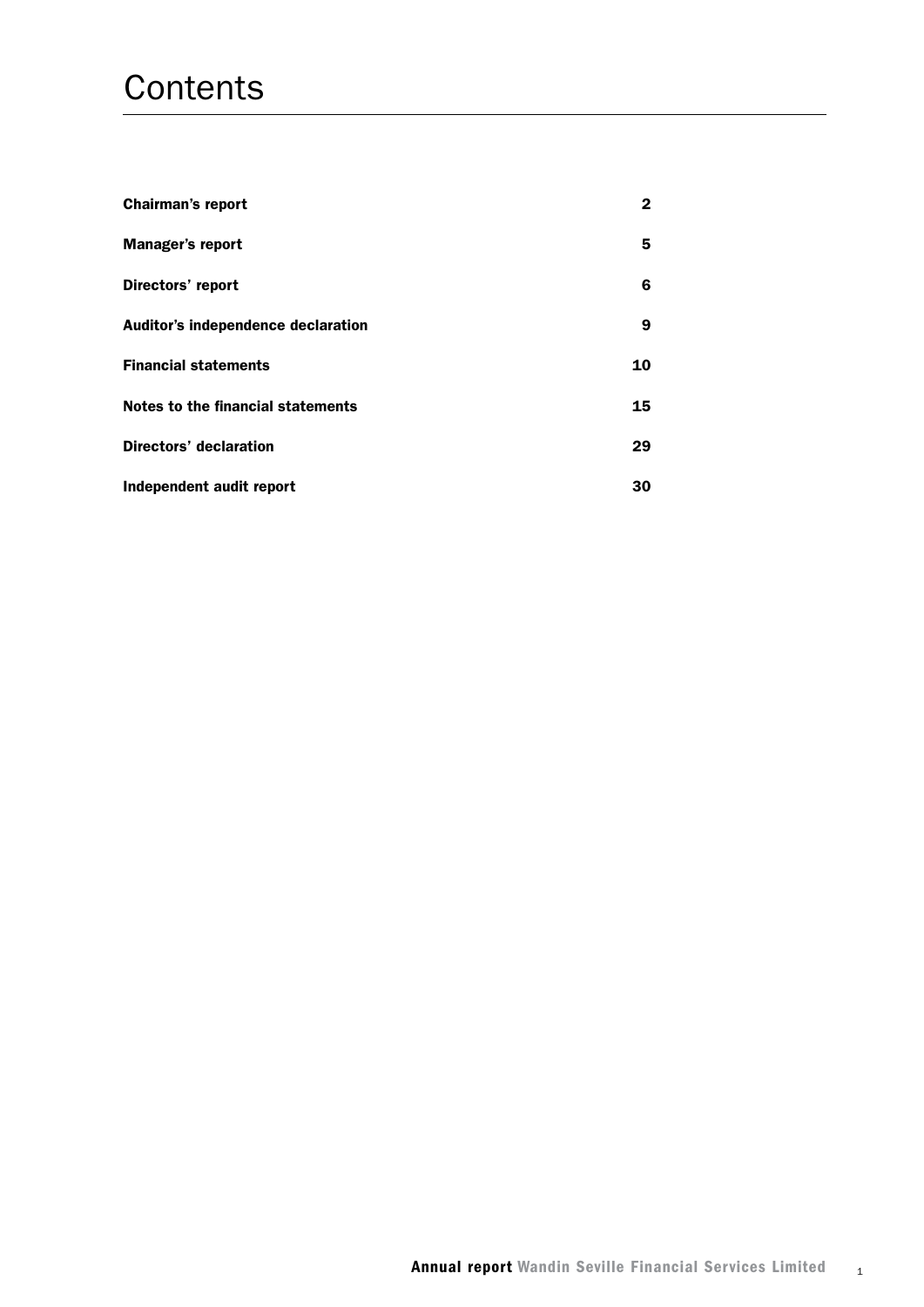# **Contents**

| <b>Chairman's report</b>           | 2  |
|------------------------------------|----|
| <b>Manager's report</b>            | 5  |
| Directors' report                  | 6  |
| Auditor's independence declaration | 9  |
| <b>Financial statements</b>        | 10 |
| Notes to the financial statements  | 15 |
| <b>Directors' declaration</b>      | 29 |
| Independent audit report           | 30 |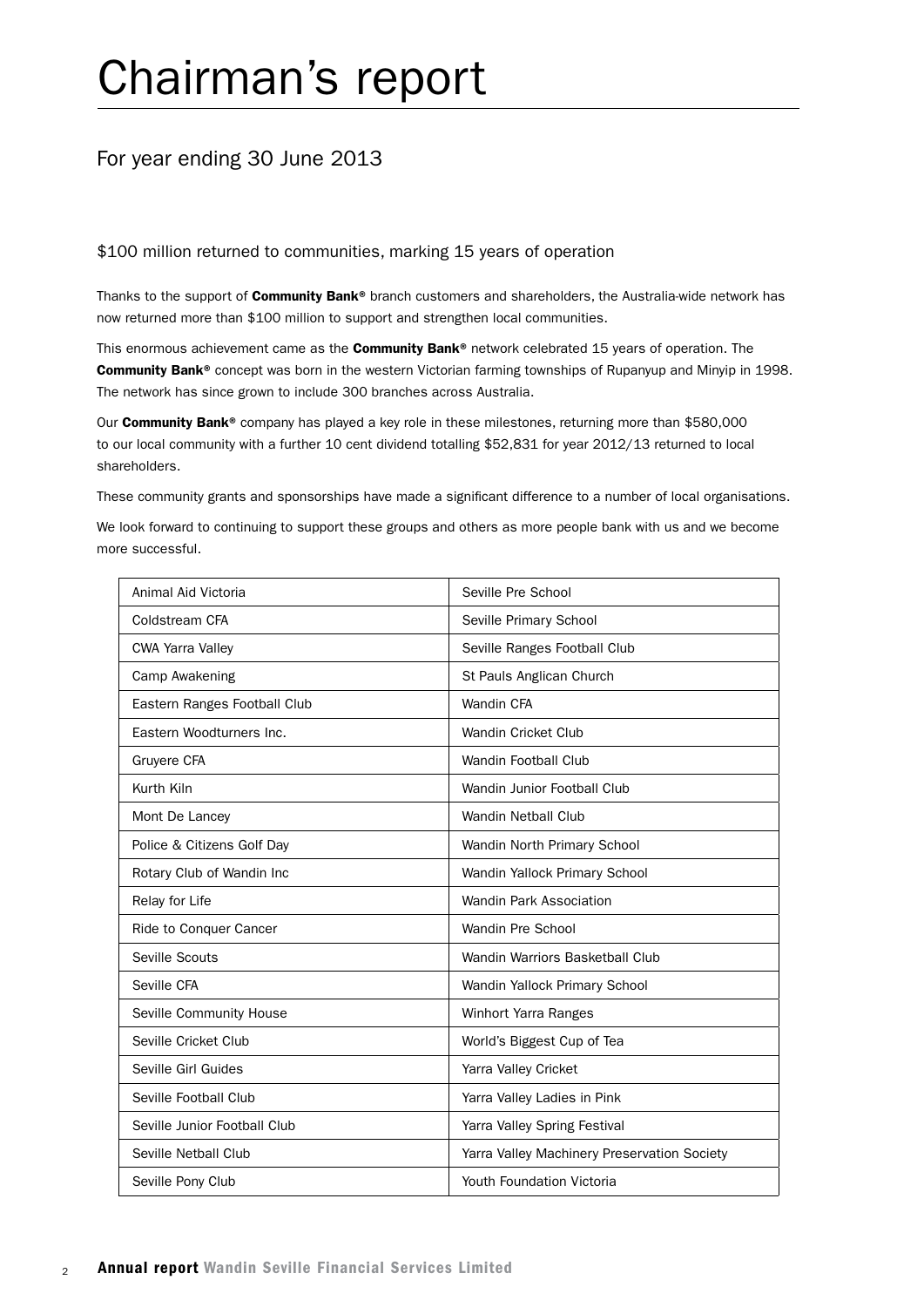# Chairman's report

# For year ending 30 June 2013

#### \$100 million returned to communities, marking 15 years of operation

Thanks to the support of Community Bank® branch customers and shareholders, the Australia-wide network has now returned more than \$100 million to support and strengthen local communities.

This enormous achievement came as the **Community Bank®** network celebrated 15 years of operation. The Community Bank<sup>®</sup> concept was born in the western Victorian farming townships of Rupanyup and Minyip in 1998. The network has since grown to include 300 branches across Australia.

Our Community Bank® company has played a key role in these milestones, returning more than \$580,000 to our local community with a further 10 cent dividend totalling \$52,831 for year 2012/13 returned to local shareholders.

These community grants and sponsorships have made a significant difference to a number of local organisations.

We look forward to continuing to support these groups and others as more people bank with us and we become more successful.

| Animal Aid Victoria           | Seville Pre School                          |
|-------------------------------|---------------------------------------------|
| Coldstream CFA                | Seville Primary School                      |
| <b>CWA Yarra Valley</b>       | Seville Ranges Football Club                |
| Camp Awakening                | St Pauls Anglican Church                    |
| Eastern Ranges Football Club  | <b>Wandin CFA</b>                           |
| Fastern Woodturners Inc.      | Wandin Cricket Club                         |
| Gruyere CFA                   | Wandin Football Club                        |
| Kurth Kiln                    | Wandin Junior Football Club                 |
| Mont De Lancey                | <b>Wandin Netball Club</b>                  |
| Police & Citizens Golf Day    | Wandin North Primary School                 |
| Rotary Club of Wandin Inc     | Wandin Yallock Primary School               |
| Relay for Life                | <b>Wandin Park Association</b>              |
| <b>Ride to Conquer Cancer</b> | Wandin Pre School                           |
| Seville Scouts                | Wandin Warriors Basketball Club             |
| Seville CFA                   | Wandin Yallock Primary School               |
| Seville Community House       | Winhort Yarra Ranges                        |
| Seville Cricket Club          | World's Biggest Cup of Tea                  |
| Seville Girl Guides           | Yarra Valley Cricket                        |
| Seville Football Club         | Yarra Valley Ladies in Pink                 |
| Seville Junior Football Club  | Yarra Valley Spring Festival                |
| Seville Netball Club          | Yarra Valley Machinery Preservation Society |
| Seville Pony Club             | Youth Foundation Victoria                   |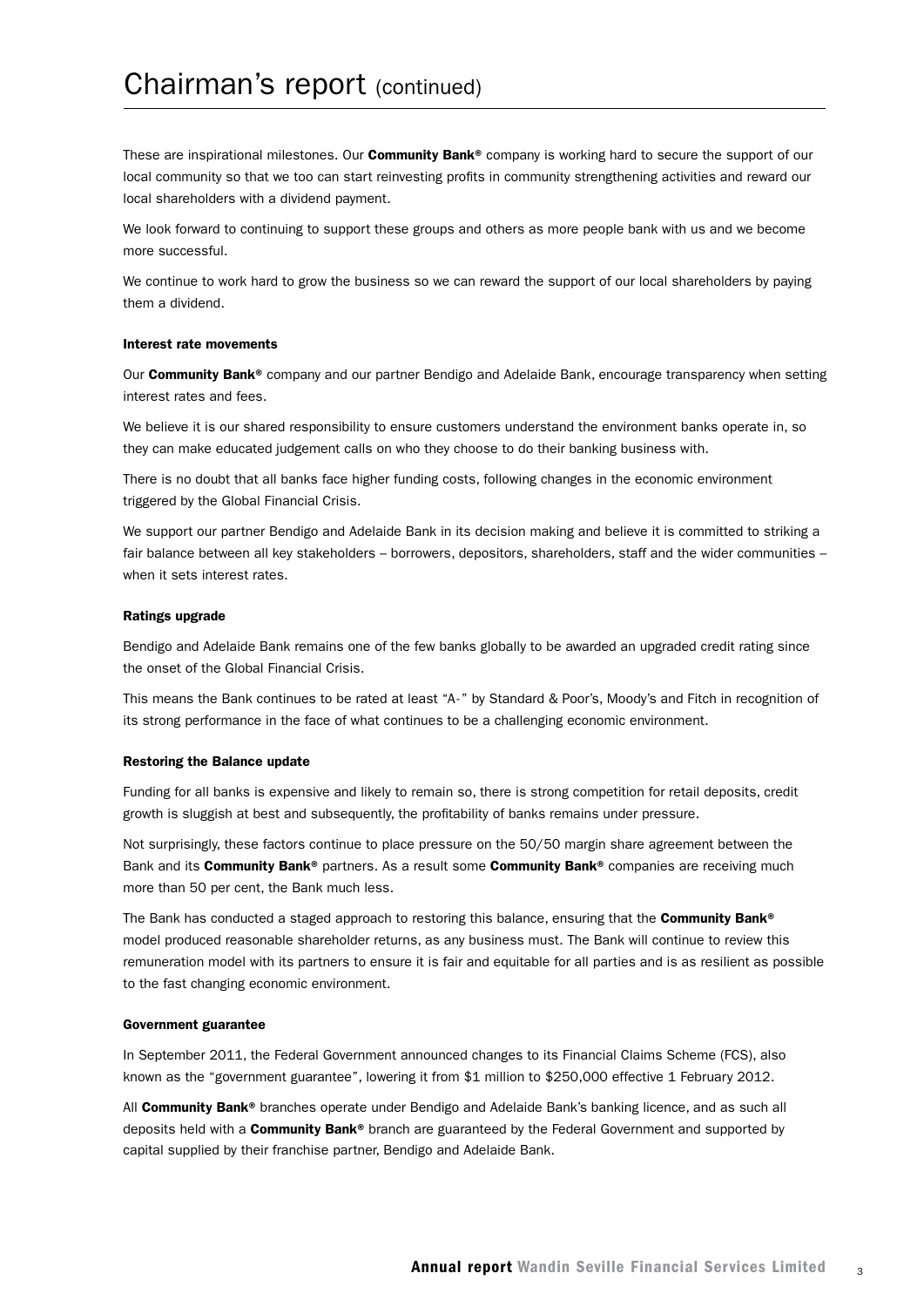These are inspirational milestones. Our **Community Bank®** company is working hard to secure the support of our local community so that we too can start reinvesting profits in community strengthening activities and reward our local shareholders with a dividend payment.

We look forward to continuing to support these groups and others as more people bank with us and we become more successful.

We continue to work hard to grow the business so we can reward the support of our local shareholders by paying them a dividend.

#### Interest rate movements

Our Community Bank® company and our partner Bendigo and Adelaide Bank, encourage transparency when setting interest rates and fees.

We believe it is our shared responsibility to ensure customers understand the environment banks operate in, so they can make educated judgement calls on who they choose to do their banking business with.

There is no doubt that all banks face higher funding costs, following changes in the economic environment triggered by the Global Financial Crisis.

We support our partner Bendigo and Adelaide Bank in its decision making and believe it is committed to striking a fair balance between all key stakeholders – borrowers, depositors, shareholders, staff and the wider communities – when it sets interest rates.

#### Ratings upgrade

Bendigo and Adelaide Bank remains one of the few banks globally to be awarded an upgraded credit rating since the onset of the Global Financial Crisis.

This means the Bank continues to be rated at least "A-" by Standard & Poor's, Moody's and Fitch in recognition of its strong performance in the face of what continues to be a challenging economic environment.

#### Restoring the Balance update

Funding for all banks is expensive and likely to remain so, there is strong competition for retail deposits, credit growth is sluggish at best and subsequently, the profitability of banks remains under pressure.

Not surprisingly, these factors continue to place pressure on the 50/50 margin share agreement between the Bank and its Community Bank® partners. As a result some Community Bank® companies are receiving much more than 50 per cent, the Bank much less.

The Bank has conducted a staged approach to restoring this balance, ensuring that the Community Bank® model produced reasonable shareholder returns, as any business must. The Bank will continue to review this remuneration model with its partners to ensure it is fair and equitable for all parties and is as resilient as possible to the fast changing economic environment.

#### Government guarantee

In September 2011, the Federal Government announced changes to its Financial Claims Scheme (FCS), also known as the "government guarantee", lowering it from \$1 million to \$250,000 effective 1 February 2012.

All **Community Bank®** branches operate under Bendigo and Adelaide Bank's banking licence, and as such all deposits held with a **Community Bank®** branch are guaranteed by the Federal Government and supported by capital supplied by their franchise partner, Bendigo and Adelaide Bank.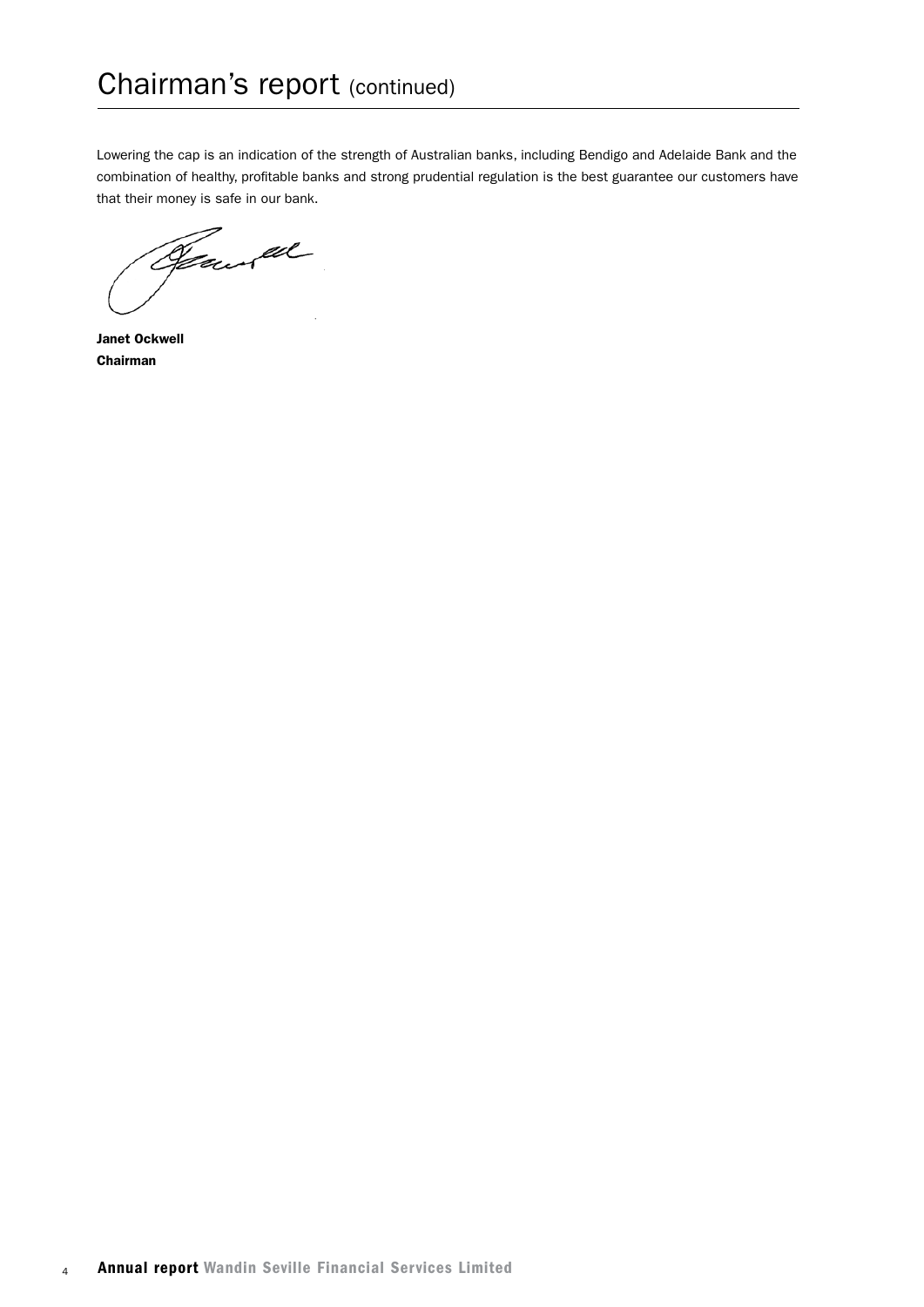Lowering the cap is an indication of the strength of Australian banks, including Bendigo and Adelaide Bank and the combination of healthy, profitable banks and strong prudential regulation is the best guarantee our customers have that their money is safe in our bank.

General

Janet Ockwell Chairman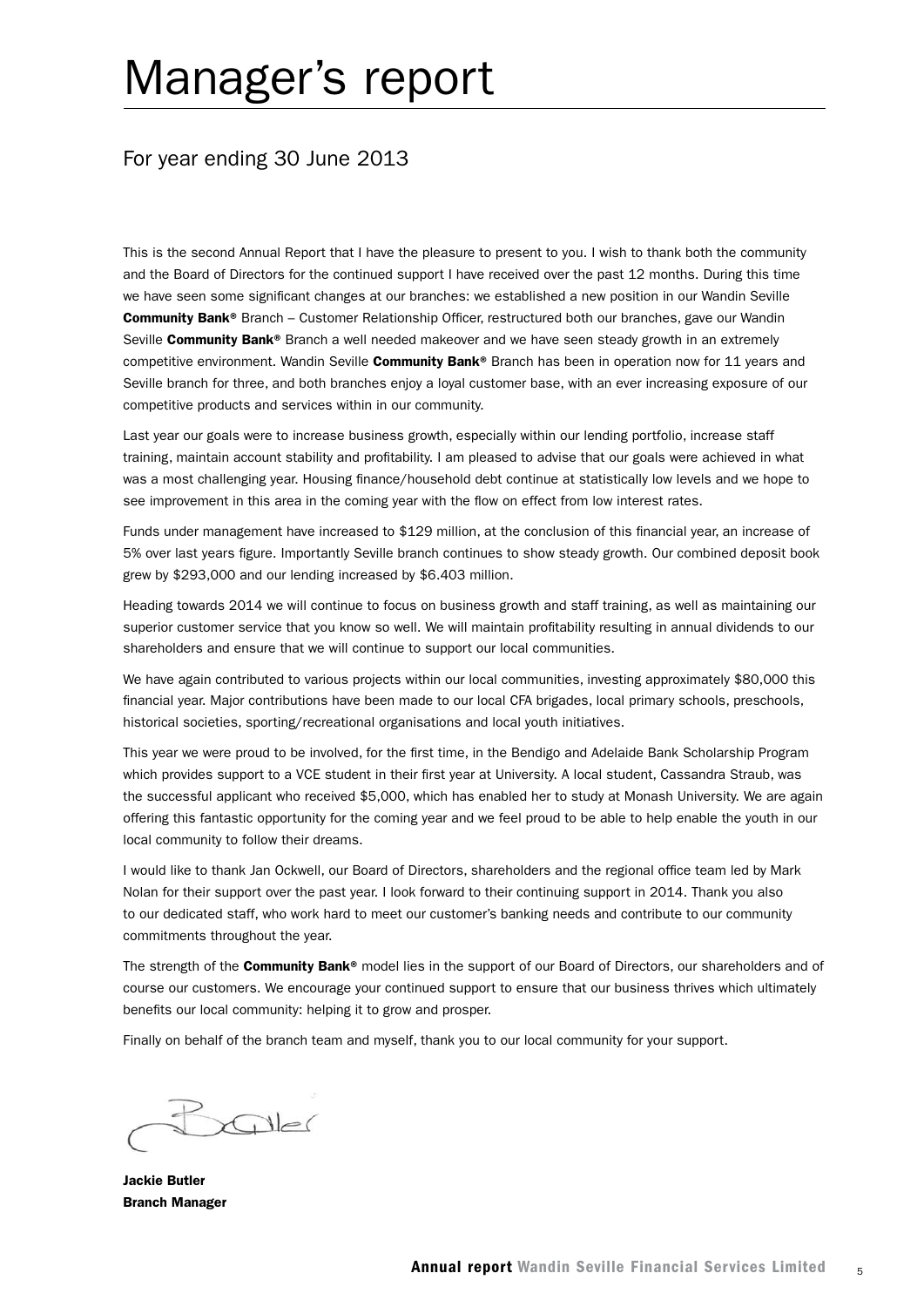# Manager's report

## For year ending 30 June 2013

This is the second Annual Report that I have the pleasure to present to you. I wish to thank both the community and the Board of Directors for the continued support I have received over the past 12 months. During this time we have seen some significant changes at our branches: we established a new position in our Wandin Seville Community Bank® Branch – Customer Relationship Officer, restructured both our branches, gave our Wandin Seville Community Bank<sup>®</sup> Branch a well needed makeover and we have seen steady growth in an extremely competitive environment. Wandin Seville Community Bank® Branch has been in operation now for 11 years and Seville branch for three, and both branches enjoy a loyal customer base, with an ever increasing exposure of our competitive products and services within in our community.

Last year our goals were to increase business growth, especially within our lending portfolio, increase staff training, maintain account stability and profitability. I am pleased to advise that our goals were achieved in what was a most challenging year. Housing finance/household debt continue at statistically low levels and we hope to see improvement in this area in the coming year with the flow on effect from low interest rates.

Funds under management have increased to \$129 million, at the conclusion of this financial year, an increase of 5% over last years figure. Importantly Seville branch continues to show steady growth. Our combined deposit book grew by \$293,000 and our lending increased by \$6.403 million.

Heading towards 2014 we will continue to focus on business growth and staff training, as well as maintaining our superior customer service that you know so well. We will maintain profitability resulting in annual dividends to our shareholders and ensure that we will continue to support our local communities.

We have again contributed to various projects within our local communities, investing approximately \$80,000 this financial year. Major contributions have been made to our local CFA brigades, local primary schools, preschools, historical societies, sporting/recreational organisations and local youth initiatives.

This year we were proud to be involved, for the first time, in the Bendigo and Adelaide Bank Scholarship Program which provides support to a VCE student in their first year at University. A local student, Cassandra Straub, was the successful applicant who received \$5,000, which has enabled her to study at Monash University. We are again offering this fantastic opportunity for the coming year and we feel proud to be able to help enable the youth in our local community to follow their dreams.

I would like to thank Jan Ockwell, our Board of Directors, shareholders and the regional office team led by Mark Nolan for their support over the past year. I look forward to their continuing support in 2014. Thank you also to our dedicated staff, who work hard to meet our customer's banking needs and contribute to our community commitments throughout the year.

The strength of the **Community Bank®** model lies in the support of our Board of Directors, our shareholders and of course our customers. We encourage your continued support to ensure that our business thrives which ultimately benefits our local community: helping it to grow and prosper.

Finally on behalf of the branch team and myself, thank you to our local community for your support.

 $B$ 

Jackie Butler Branch Manager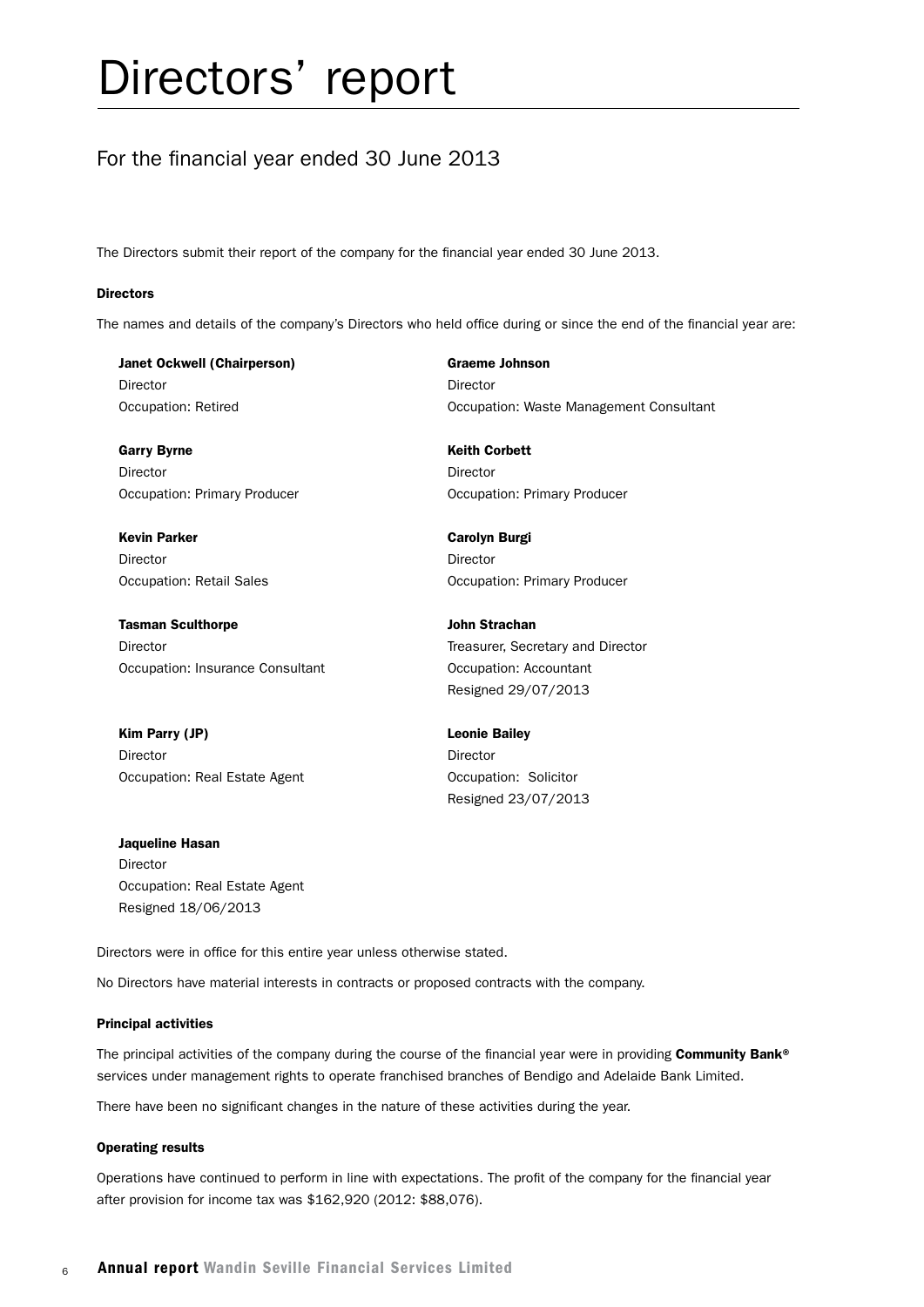# Directors' report

## For the financial year ended 30 June 2013

The Directors submit their report of the company for the financial year ended 30 June 2013.

#### **Directors**

The names and details of the company's Directors who held office during or since the end of the financial year are:

Janet Ockwell (Chairperson) Graeme Johnson Director Director

Garry Byrne **Keith Corbett** Director Director Occupation: Primary Producer **Community Constructs** Occupation: Primary Producer

Kevin Parker Carolyn Burgi Director Director

Tasman Sculthorpe **Voltage Communist Communist Communist** John Strachan Director Treasurer, Secretary and Director Occupation: Insurance Consultant **Consultant** Occupation: Accountant

Kim Parry (JP) Leonie Bailey Director **Director** Director Occupation: Real Estate Agent **Constrainers** Occupation: Solicitor

Jaqueline Hasan Director Occupation: Real Estate Agent Resigned 18/06/2013

Directors were in office for this entire year unless otherwise stated.

No Directors have material interests in contracts or proposed contracts with the company.

#### Principal activities

The principal activities of the company during the course of the financial year were in providing Community Bank® services under management rights to operate franchised branches of Bendigo and Adelaide Bank Limited.

There have been no significant changes in the nature of these activities during the year.

#### Operating results

Operations have continued to perform in line with expectations. The profit of the company for the financial year after provision for income tax was \$162,920 (2012: \$88,076).

Occupation: Retired Occupation: Waste Management Consultant

Occupation: Retail Sales **Occupation: Primary Producer** Occupation: Primary Producer

Resigned 29/07/2013

Resigned 23/07/2013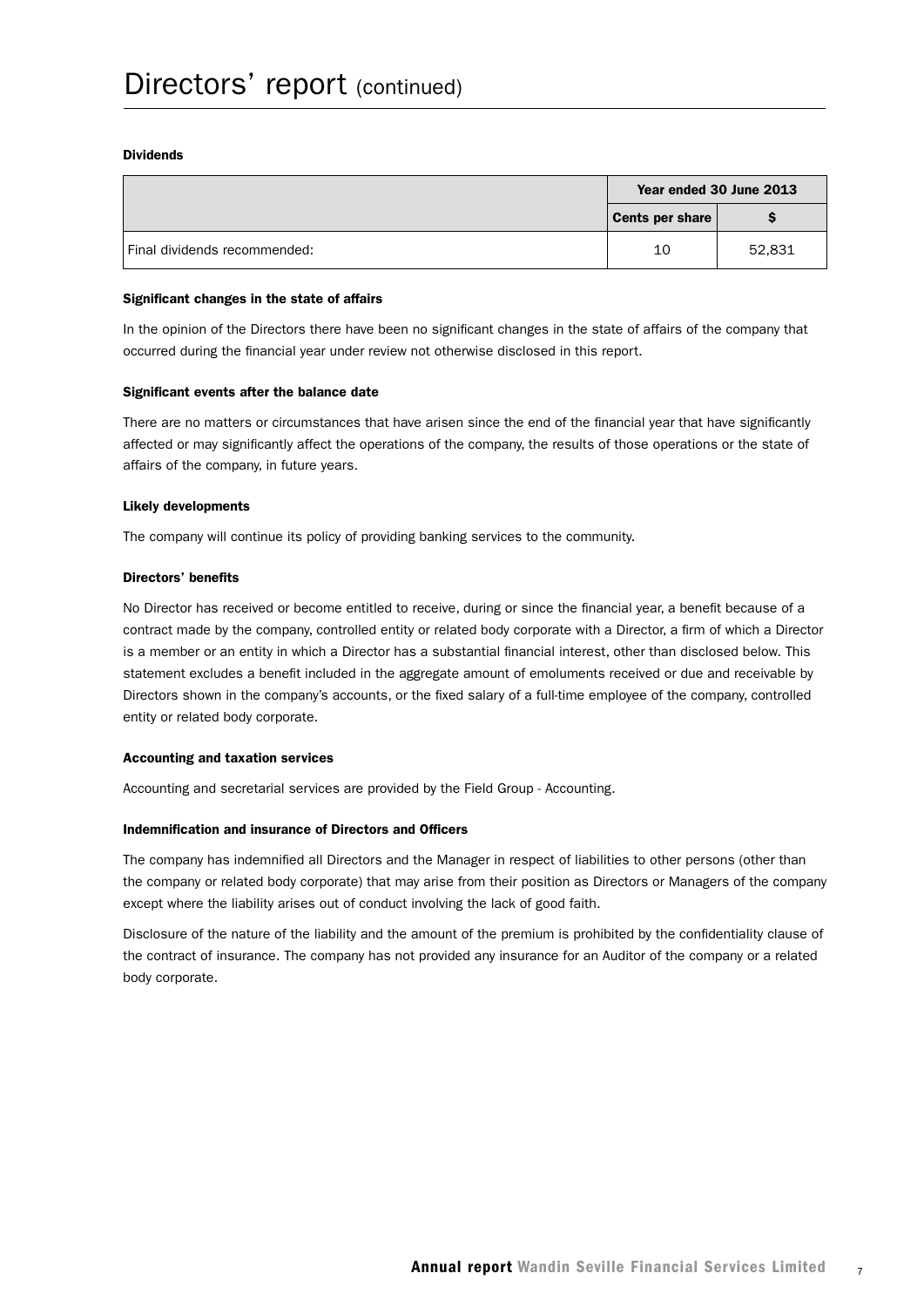#### Dividends

|                              | Year ended 30 June 2013 |        |
|------------------------------|-------------------------|--------|
|                              | Cents per share         |        |
| Final dividends recommended: | 10                      | 52,831 |

#### Significant changes in the state of affairs

In the opinion of the Directors there have been no significant changes in the state of affairs of the company that occurred during the financial year under review not otherwise disclosed in this report.

#### Significant events after the balance date

There are no matters or circumstances that have arisen since the end of the financial year that have significantly affected or may significantly affect the operations of the company, the results of those operations or the state of affairs of the company, in future years.

#### Likely developments

The company will continue its policy of providing banking services to the community.

#### Directors' benefits

No Director has received or become entitled to receive, during or since the financial year, a benefit because of a contract made by the company, controlled entity or related body corporate with a Director, a firm of which a Director is a member or an entity in which a Director has a substantial financial interest, other than disclosed below. This statement excludes a benefit included in the aggregate amount of emoluments received or due and receivable by Directors shown in the company's accounts, or the fixed salary of a full-time employee of the company, controlled entity or related body corporate.

#### Accounting and taxation services

Accounting and secretarial services are provided by the Field Group - Accounting.

#### Indemnification and insurance of Directors and Officers

The company has indemnified all Directors and the Manager in respect of liabilities to other persons (other than the company or related body corporate) that may arise from their position as Directors or Managers of the company except where the liability arises out of conduct involving the lack of good faith.

Disclosure of the nature of the liability and the amount of the premium is prohibited by the confidentiality clause of the contract of insurance. The company has not provided any insurance for an Auditor of the company or a related body corporate.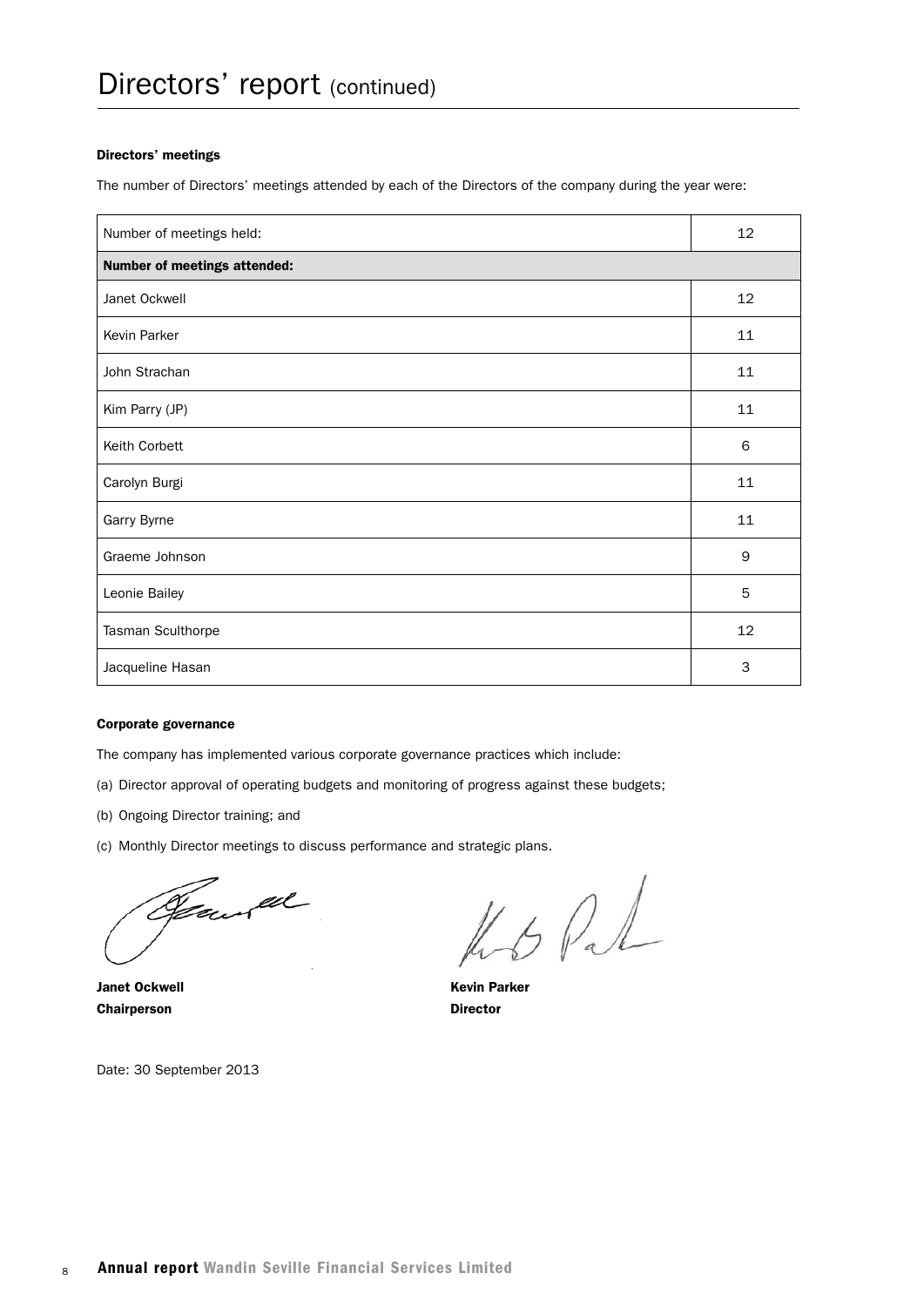#### Directors' meetings

The number of Directors' meetings attended by each of the Directors of the company during the year were:

| Number of meetings held:     | 12 |
|------------------------------|----|
| Number of meetings attended: |    |
| Janet Ockwell                | 12 |
| Kevin Parker                 | 11 |
| John Strachan                | 11 |
| Kim Parry (JP)               | 11 |
| Keith Corbett                | 6  |
| Carolyn Burgi                | 11 |
| Garry Byrne                  | 11 |
| Graeme Johnson               | 9  |
| Leonie Bailey                | 5  |
| Tasman Sculthorpe            | 12 |
| Jacqueline Hasan             | 3  |

#### Corporate governance

The company has implemented various corporate governance practices which include:

- (a) Director approval of operating budgets and monitoring of progress against these budgets;
- (b) Ongoing Director training; and
- (c) Monthly Director meetings to discuss performance and strategic plans.

General

Janet Ockwell **Kevin Parker** Kevin Parker **Chairperson** Director

Date: 30 September 2013

 $6.61$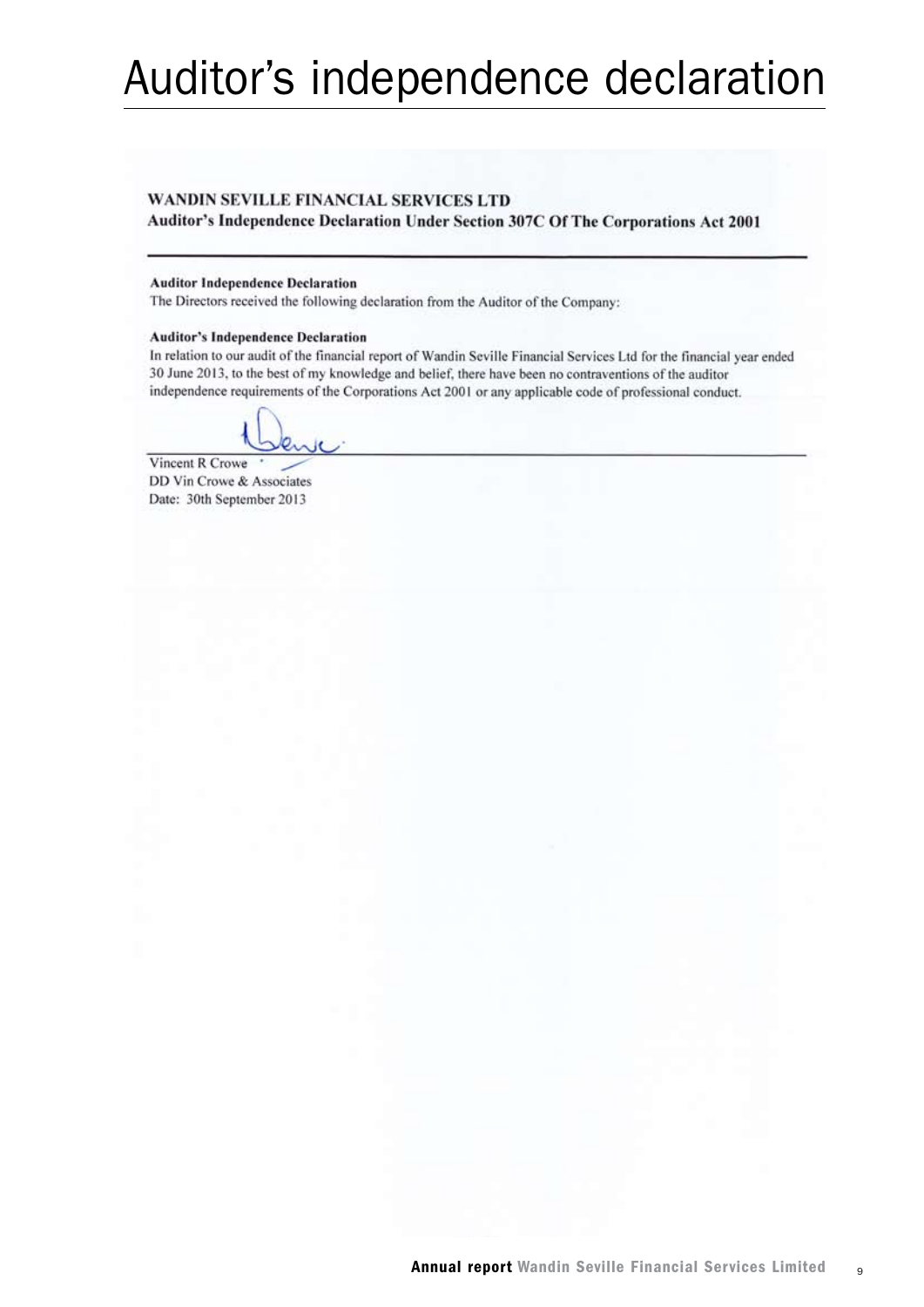# Auditor's independence declaration

#### WANDIN SEVILLE FINANCIAL SERVICES LTD

Auditor's Independence Declaration Under Section 307C Of The Corporations Act 2001

#### **Auditor Independence Declaration**

The Directors received the following declaration from the Auditor of the Company:

#### **Auditor's Independence Declaration**

In relation to our audit of the financial report of Wandin Seville Financial Services Ltd for the financial year ended 30 June 2013, to the best of my knowledge and belief, there have been no contraventions of the auditor independence requirements of the Corporations Act 2001 or any applicable code of professional conduct.

Vincent R Crowe DD Vin Crowe & Associates Date: 30th September 2013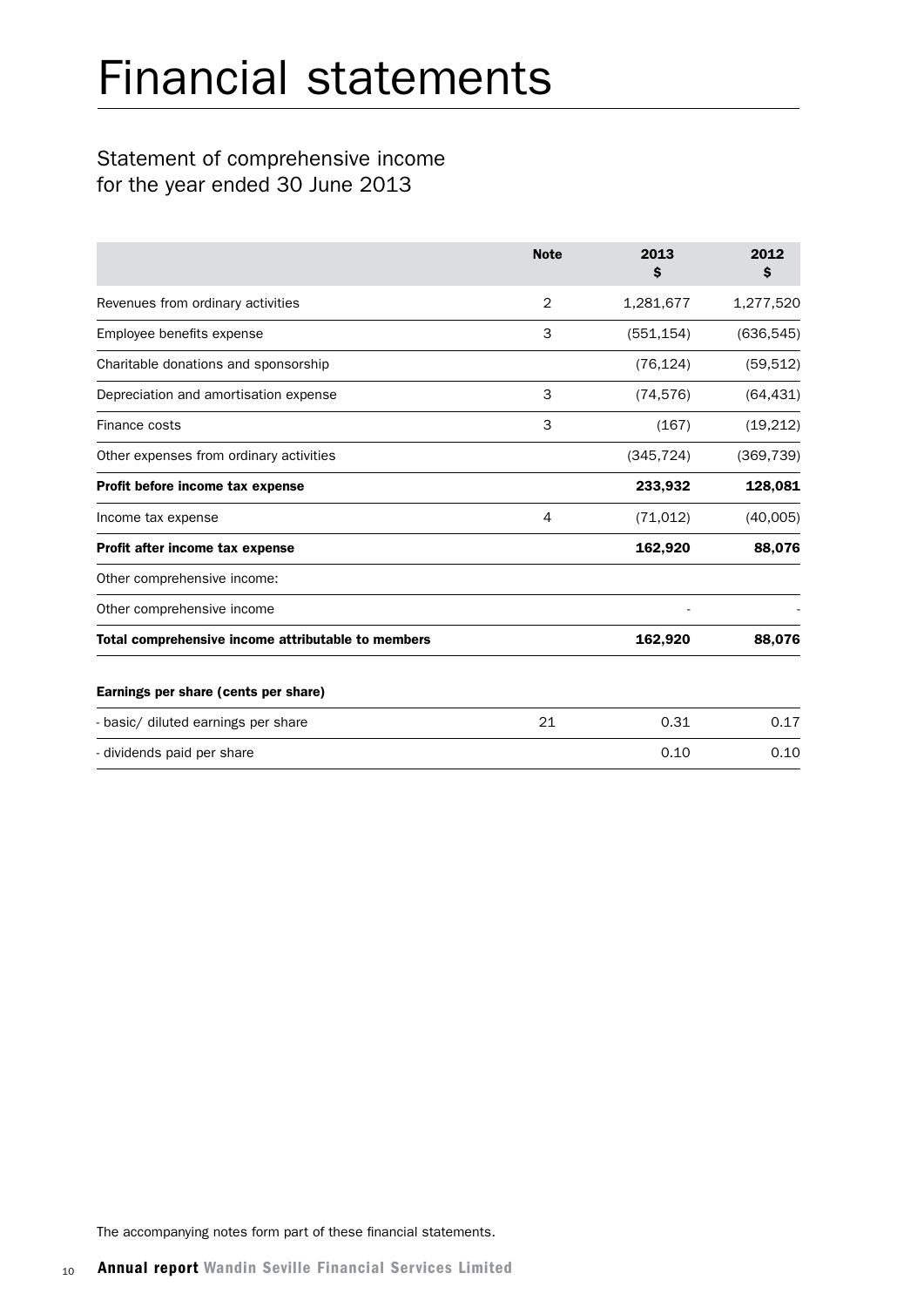# Financial statements

## Statement of comprehensive income for the year ended 30 June 2013

|                                                    | <b>Note</b>    | 2013<br>\$ | 2012<br>\$ |
|----------------------------------------------------|----------------|------------|------------|
| Revenues from ordinary activities                  | $\overline{2}$ | 1,281,677  | 1,277,520  |
| Employee benefits expense                          | 3              | (551, 154) | (636, 545) |
| Charitable donations and sponsorship               |                | (76, 124)  | (59, 512)  |
| Depreciation and amortisation expense              | 3              | (74, 576)  | (64, 431)  |
| Finance costs                                      | 3              | (167)      | (19, 212)  |
| Other expenses from ordinary activities            |                | (345, 724) | (369, 739) |
| Profit before income tax expense                   |                | 233,932    | 128,081    |
| Income tax expense                                 | 4              | (71, 012)  | (40,005)   |
| Profit after income tax expense                    |                | 162,920    | 88,076     |
| Other comprehensive income:                        |                |            |            |
| Other comprehensive income                         |                |            |            |
| Total comprehensive income attributable to members |                | 162,920    | 88,076     |
| Earnings per share (cents per share)               |                |            |            |
| - basic/ diluted earnings per share                | 21             | 0.31       | 0.17       |
| - dividends paid per share                         |                | 0.10       | 0.10       |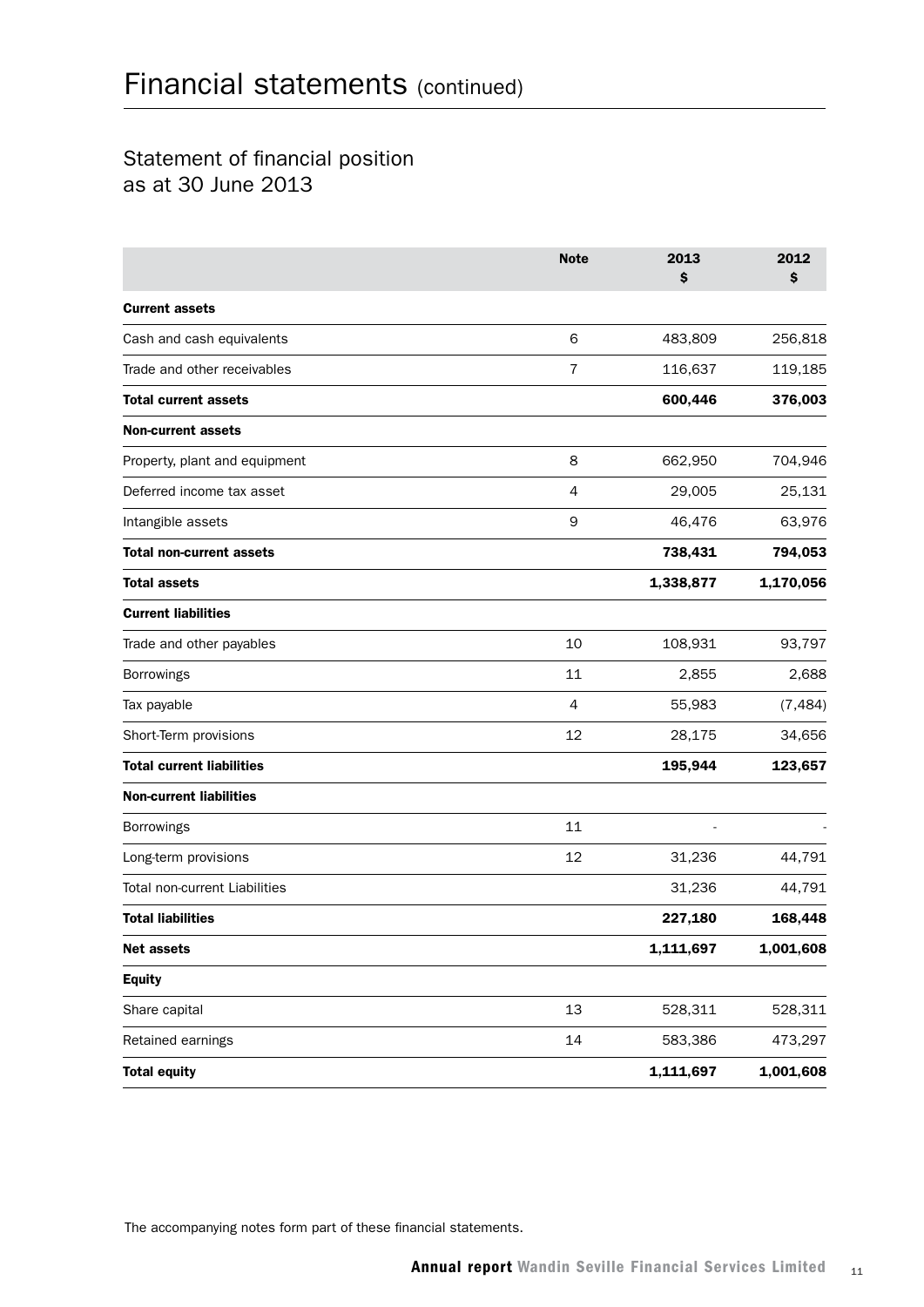# Statement of financial position as at 30 June 2013

|                                      | <b>Note</b>    | 2013<br>\$ | 2012<br>\$ |
|--------------------------------------|----------------|------------|------------|
| <b>Current assets</b>                |                |            |            |
| Cash and cash equivalents            | 6              | 483,809    | 256,818    |
| Trade and other receivables          | $\overline{7}$ | 116,637    | 119,185    |
| <b>Total current assets</b>          |                | 600,446    | 376,003    |
| <b>Non-current assets</b>            |                |            |            |
| Property, plant and equipment        | 8              | 662,950    | 704,946    |
| Deferred income tax asset            | $\overline{4}$ | 29,005     | 25,131     |
| Intangible assets                    | 9              | 46,476     | 63,976     |
| <b>Total non-current assets</b>      |                | 738,431    | 794,053    |
| <b>Total assets</b>                  |                | 1,338,877  | 1,170,056  |
| <b>Current liabilities</b>           |                |            |            |
| Trade and other payables             | 10             | 108,931    | 93,797     |
| Borrowings                           | 11             | 2,855      | 2,688      |
| Tax payable                          | 4              | 55,983     | (7, 484)   |
| Short-Term provisions                | 12             | 28,175     | 34,656     |
| <b>Total current liabilities</b>     |                | 195,944    | 123,657    |
| <b>Non-current liabilities</b>       |                |            |            |
| Borrowings                           | 11             |            |            |
| Long-term provisions                 | 12             | 31,236     | 44,791     |
| <b>Total non-current Liabilities</b> |                | 31,236     | 44,791     |
| <b>Total liabilities</b>             |                | 227,180    | 168,448    |
| Net assets                           |                | 1,111,697  | 1,001,608  |
| <b>Equity</b>                        |                |            |            |
| Share capital                        | 13             | 528,311    | 528,311    |
| Retained earnings                    | 14             | 583,386    | 473,297    |
| <b>Total equity</b>                  |                | 1,111,697  | 1,001,608  |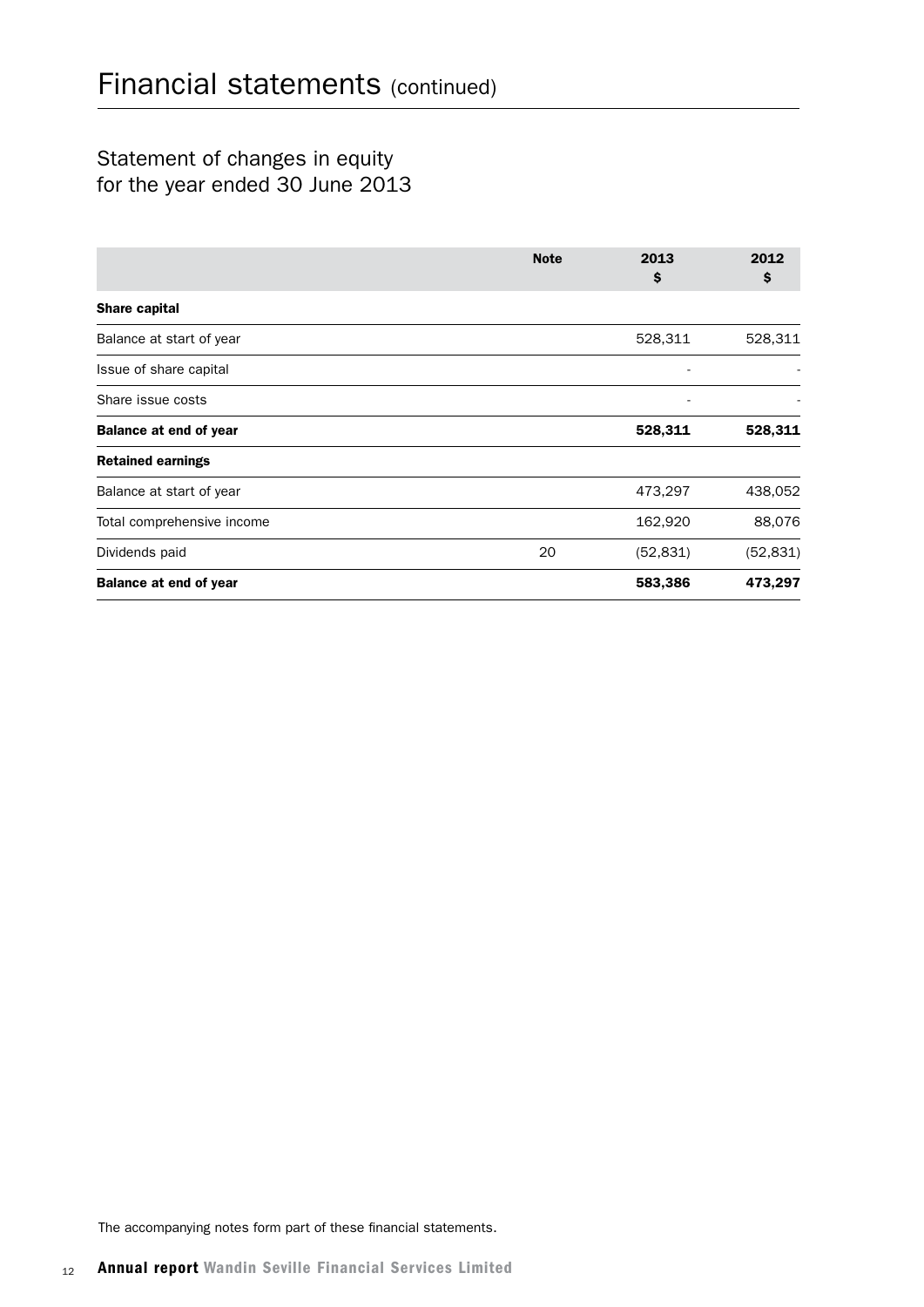## Statement of changes in equity for the year ended 30 June 2013

|                               | <b>Note</b> | 2013<br>\$ | 2012<br>\$ |
|-------------------------------|-------------|------------|------------|
| Share capital                 |             |            |            |
| Balance at start of year      |             | 528,311    | 528,311    |
| Issue of share capital        |             |            |            |
| Share issue costs             |             |            |            |
| <b>Balance at end of year</b> |             | 528,311    | 528,311    |
| <b>Retained earnings</b>      |             |            |            |
| Balance at start of year      |             | 473,297    | 438,052    |
| Total comprehensive income    |             | 162,920    | 88,076     |
| Dividends paid                | 20          | (52, 831)  | (52, 831)  |
| <b>Balance at end of year</b> |             | 583,386    | 473,297    |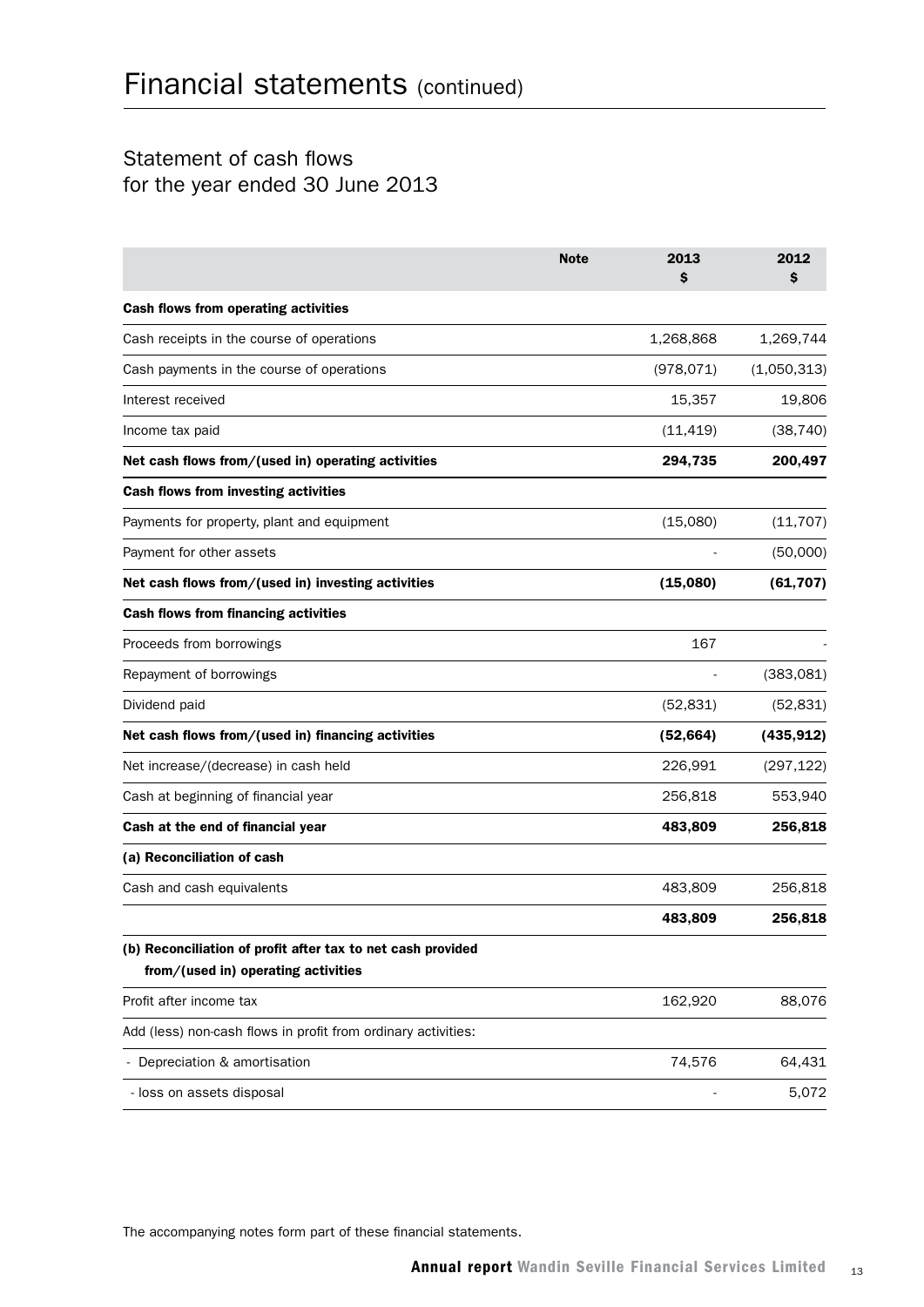# Statement of cash flows for the year ended 30 June 2013

|                                                                                                    | <b>Note</b> | 2013<br>s  | 2012<br>s   |
|----------------------------------------------------------------------------------------------------|-------------|------------|-------------|
| Cash flows from operating activities                                                               |             |            |             |
| Cash receipts in the course of operations                                                          |             | 1,268,868  | 1,269,744   |
| Cash payments in the course of operations                                                          |             | (978, 071) | (1,050,313) |
| Interest received                                                                                  |             | 15,357     | 19,806      |
| Income tax paid                                                                                    |             | (11, 419)  | (38, 740)   |
| Net cash flows from/(used in) operating activities                                                 |             | 294,735    | 200,497     |
| <b>Cash flows from investing activities</b>                                                        |             |            |             |
| Payments for property, plant and equipment                                                         |             | (15,080)   | (11, 707)   |
| Payment for other assets                                                                           |             |            | (50,000)    |
| Net cash flows from/(used in) investing activities                                                 |             | (15,080)   | (61, 707)   |
| <b>Cash flows from financing activities</b>                                                        |             |            |             |
| Proceeds from borrowings                                                                           |             | 167        |             |
| Repayment of borrowings                                                                            |             |            | (383, 081)  |
| Dividend paid                                                                                      |             | (52, 831)  | (52, 831)   |
| Net cash flows from/(used in) financing activities                                                 |             | (52, 664)  | (435, 912)  |
| Net increase/(decrease) in cash held                                                               |             | 226,991    | (297, 122)  |
| Cash at beginning of financial year                                                                |             | 256,818    | 553,940     |
| Cash at the end of financial year                                                                  |             | 483,809    | 256,818     |
| (a) Reconciliation of cash                                                                         |             |            |             |
| Cash and cash equivalents                                                                          |             | 483,809    | 256,818     |
|                                                                                                    |             | 483,809    | 256,818     |
| (b) Reconciliation of profit after tax to net cash provided<br>from/(used in) operating activities |             |            |             |
| Profit after income tax                                                                            |             | 162,920    | 88,076      |
| Add (less) non-cash flows in profit from ordinary activities:                                      |             |            |             |
| - Depreciation & amortisation                                                                      |             | 74,576     | 64,431      |
| - loss on assets disposal                                                                          |             |            | 5,072       |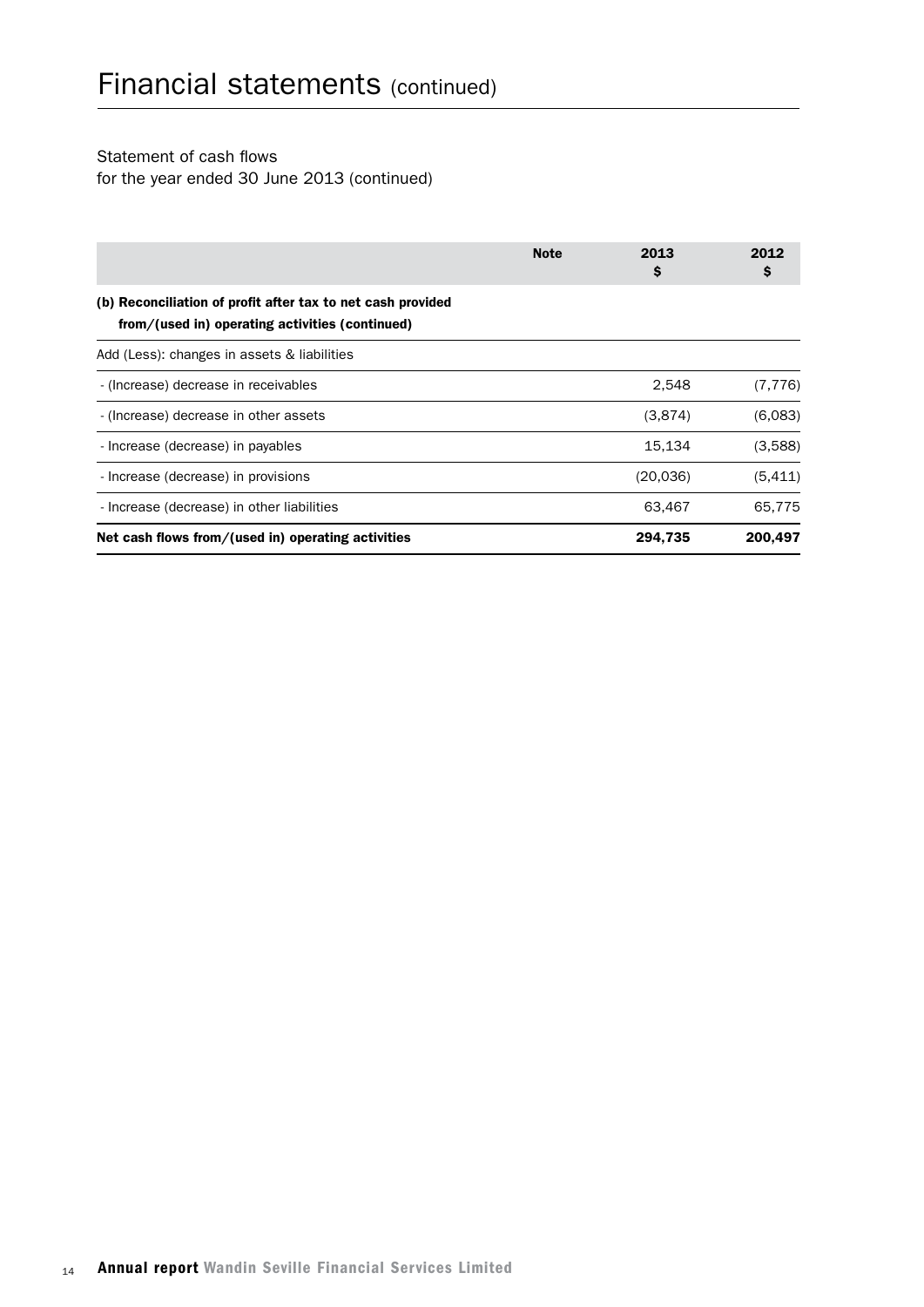### Statement of cash flows

for the year ended 30 June 2013 (continued)

|                                                                                                                | <b>Note</b> | 2013<br>Ş | 2012<br>Ş |
|----------------------------------------------------------------------------------------------------------------|-------------|-----------|-----------|
| (b) Reconciliation of profit after tax to net cash provided<br>from/(used in) operating activities (continued) |             |           |           |
| Add (Less): changes in assets & liabilities                                                                    |             |           |           |
| - (Increase) decrease in receivables                                                                           |             | 2,548     | (7, 776)  |
| - (Increase) decrease in other assets                                                                          |             | (3,874)   | (6,083)   |
| - Increase (decrease) in payables                                                                              |             | 15,134    | (3,588)   |
| - Increase (decrease) in provisions                                                                            |             | (20,036)  | (5, 411)  |
| - Increase (decrease) in other liabilities                                                                     |             | 63,467    | 65,775    |
| Net cash flows from/(used in) operating activities                                                             |             | 294,735   | 200,497   |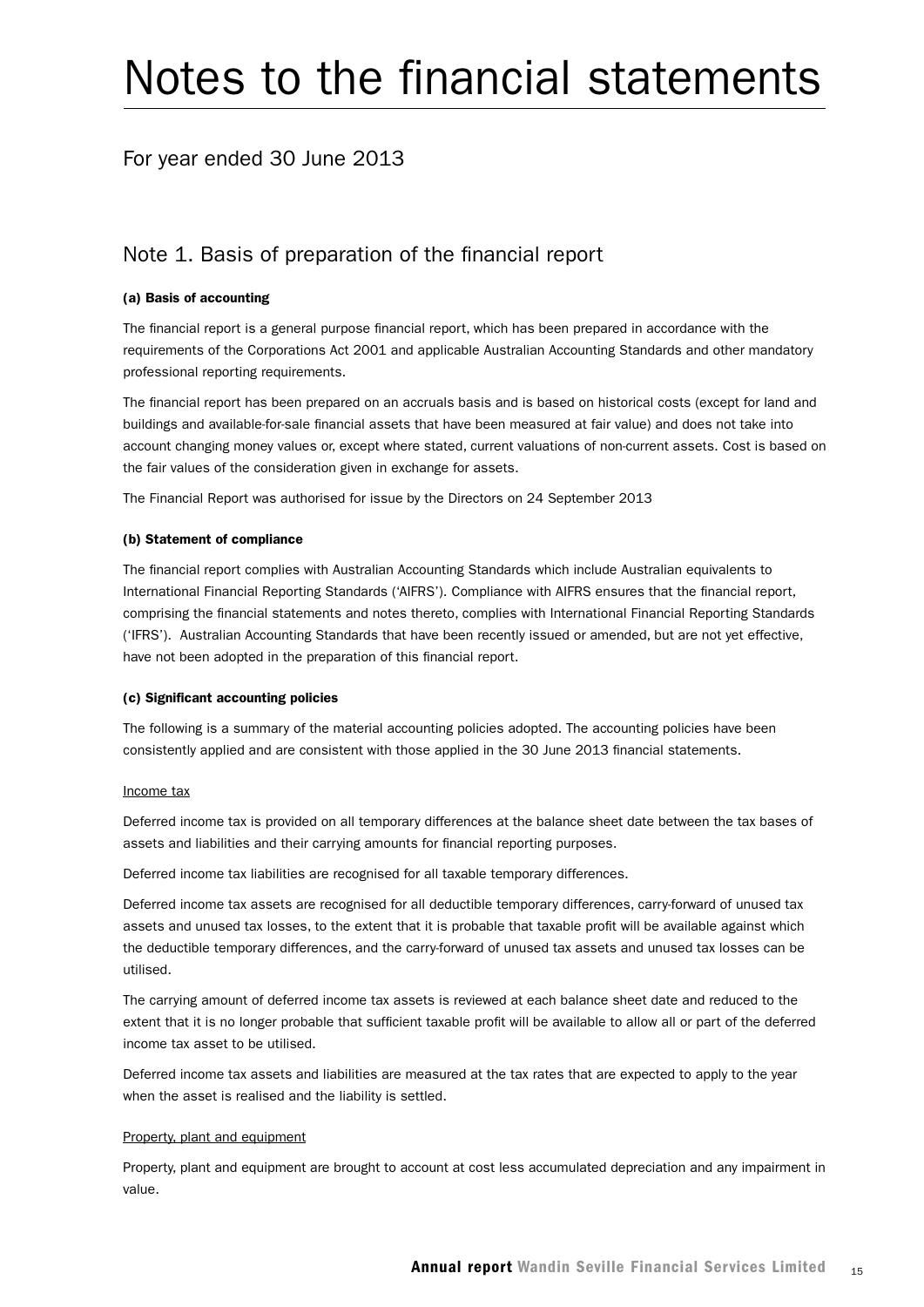# Notes to the financial statements

## For year ended 30 June 2013

## Note 1. Basis of preparation of the financial report

#### (a) Basis of accounting

The financial report is a general purpose financial report, which has been prepared in accordance with the requirements of the Corporations Act 2001 and applicable Australian Accounting Standards and other mandatory professional reporting requirements.

The financial report has been prepared on an accruals basis and is based on historical costs (except for land and buildings and available-for-sale financial assets that have been measured at fair value) and does not take into account changing money values or, except where stated, current valuations of non-current assets. Cost is based on the fair values of the consideration given in exchange for assets.

The Financial Report was authorised for issue by the Directors on 24 September 2013

#### (b) Statement of compliance

The financial report complies with Australian Accounting Standards which include Australian equivalents to International Financial Reporting Standards ('AIFRS'). Compliance with AIFRS ensures that the financial report, comprising the financial statements and notes thereto, complies with International Financial Reporting Standards ('IFRS'). Australian Accounting Standards that have been recently issued or amended, but are not yet effective, have not been adopted in the preparation of this financial report.

#### (c) Significant accounting policies

The following is a summary of the material accounting policies adopted. The accounting policies have been consistently applied and are consistent with those applied in the 30 June 2013 financial statements.

#### Income tax

Deferred income tax is provided on all temporary differences at the balance sheet date between the tax bases of assets and liabilities and their carrying amounts for financial reporting purposes.

Deferred income tax liabilities are recognised for all taxable temporary differences.

Deferred income tax assets are recognised for all deductible temporary differences, carry-forward of unused tax assets and unused tax losses, to the extent that it is probable that taxable profit will be available against which the deductible temporary differences, and the carry-forward of unused tax assets and unused tax losses can be utilised.

The carrying amount of deferred income tax assets is reviewed at each balance sheet date and reduced to the extent that it is no longer probable that sufficient taxable profit will be available to allow all or part of the deferred income tax asset to be utilised.

Deferred income tax assets and liabilities are measured at the tax rates that are expected to apply to the year when the asset is realised and the liability is settled.

#### Property, plant and equipment

Property, plant and equipment are brought to account at cost less accumulated depreciation and any impairment in value.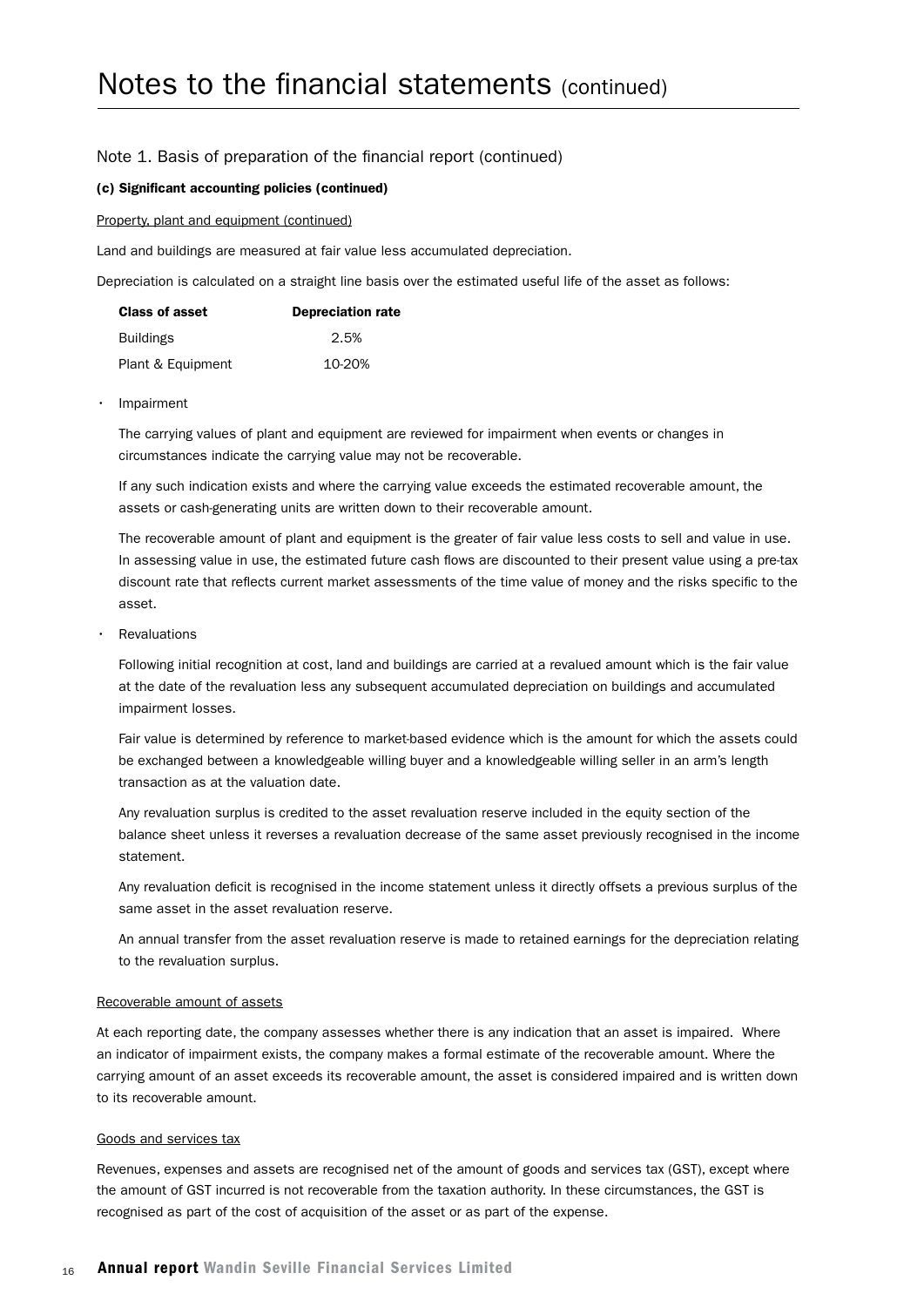#### Note 1. Basis of preparation of the financial report (continued)

#### (c) Significant accounting policies (continued)

Property, plant and equipment (continued)

Land and buildings are measured at fair value less accumulated depreciation.

Depreciation is calculated on a straight line basis over the estimated useful life of the asset as follows:

| <b>Class of asset</b> | <b>Depreciation rate</b> |
|-----------------------|--------------------------|
| <b>Buildings</b>      | 2.5%                     |
| Plant & Equipment     | 10-20%                   |

#### **Impairment**

The carrying values of plant and equipment are reviewed for impairment when events or changes in circumstances indicate the carrying value may not be recoverable.

If any such indication exists and where the carrying value exceeds the estimated recoverable amount, the assets or cash-generating units are written down to their recoverable amount.

The recoverable amount of plant and equipment is the greater of fair value less costs to sell and value in use. In assessing value in use, the estimated future cash flows are discounted to their present value using a pre-tax discount rate that reflects current market assessments of the time value of money and the risks specific to the asset.

**Revaluations** 

Following initial recognition at cost, land and buildings are carried at a revalued amount which is the fair value at the date of the revaluation less any subsequent accumulated depreciation on buildings and accumulated impairment losses.

Fair value is determined by reference to market-based evidence which is the amount for which the assets could be exchanged between a knowledgeable willing buyer and a knowledgeable willing seller in an arm's length transaction as at the valuation date.

Any revaluation surplus is credited to the asset revaluation reserve included in the equity section of the balance sheet unless it reverses a revaluation decrease of the same asset previously recognised in the income statement.

Any revaluation deficit is recognised in the income statement unless it directly offsets a previous surplus of the same asset in the asset revaluation reserve.

An annual transfer from the asset revaluation reserve is made to retained earnings for the depreciation relating to the revaluation surplus.

#### Recoverable amount of assets

At each reporting date, the company assesses whether there is any indication that an asset is impaired. Where an indicator of impairment exists, the company makes a formal estimate of the recoverable amount. Where the carrying amount of an asset exceeds its recoverable amount, the asset is considered impaired and is written down to its recoverable amount.

#### Goods and services tax

Revenues, expenses and assets are recognised net of the amount of goods and services tax (GST), except where the amount of GST incurred is not recoverable from the taxation authority. In these circumstances, the GST is recognised as part of the cost of acquisition of the asset or as part of the expense.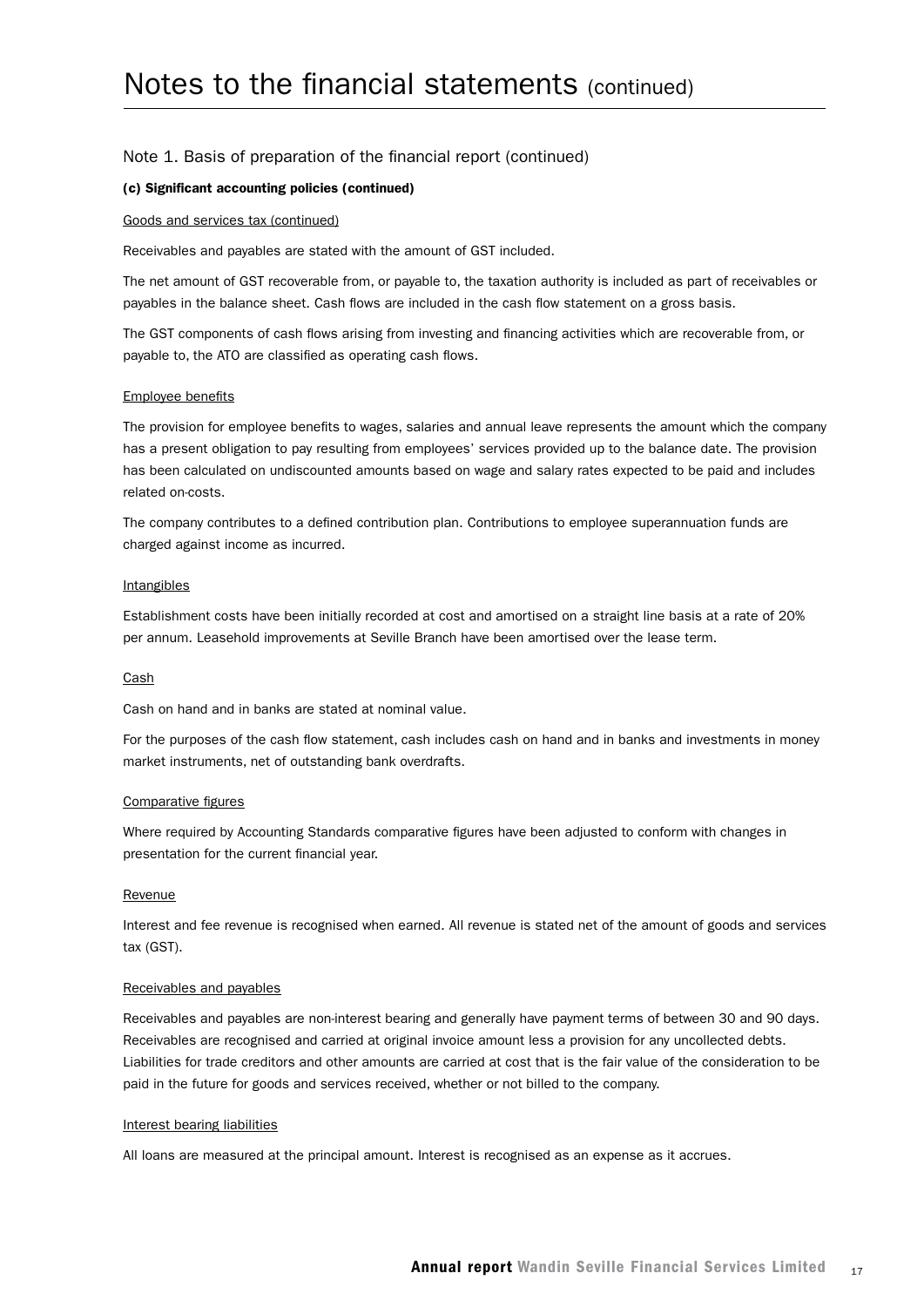#### Note 1. Basis of preparation of the financial report (continued)

#### (c) Significant accounting policies (continued)

#### Goods and services tax (continued)

Receivables and payables are stated with the amount of GST included.

The net amount of GST recoverable from, or payable to, the taxation authority is included as part of receivables or payables in the balance sheet. Cash flows are included in the cash flow statement on a gross basis.

The GST components of cash flows arising from investing and financing activities which are recoverable from, or payable to, the ATO are classified as operating cash flows.

#### Employee benefits

The provision for employee benefits to wages, salaries and annual leave represents the amount which the company has a present obligation to pay resulting from employees' services provided up to the balance date. The provision has been calculated on undiscounted amounts based on wage and salary rates expected to be paid and includes related on-costs.

The company contributes to a defined contribution plan. Contributions to employee superannuation funds are charged against income as incurred.

#### **Intangibles**

Establishment costs have been initially recorded at cost and amortised on a straight line basis at a rate of 20% per annum. Leasehold improvements at Seville Branch have been amortised over the lease term.

#### Cash

Cash on hand and in banks are stated at nominal value.

For the purposes of the cash flow statement, cash includes cash on hand and in banks and investments in money market instruments, net of outstanding bank overdrafts.

#### Comparative figures

Where required by Accounting Standards comparative figures have been adjusted to conform with changes in presentation for the current financial year.

#### Revenue

Interest and fee revenue is recognised when earned. All revenue is stated net of the amount of goods and services tax (GST).

#### Receivables and payables

Receivables and payables are non-interest bearing and generally have payment terms of between 30 and 90 days. Receivables are recognised and carried at original invoice amount less a provision for any uncollected debts. Liabilities for trade creditors and other amounts are carried at cost that is the fair value of the consideration to be paid in the future for goods and services received, whether or not billed to the company.

#### Interest bearing liabilities

All loans are measured at the principal amount. Interest is recognised as an expense as it accrues.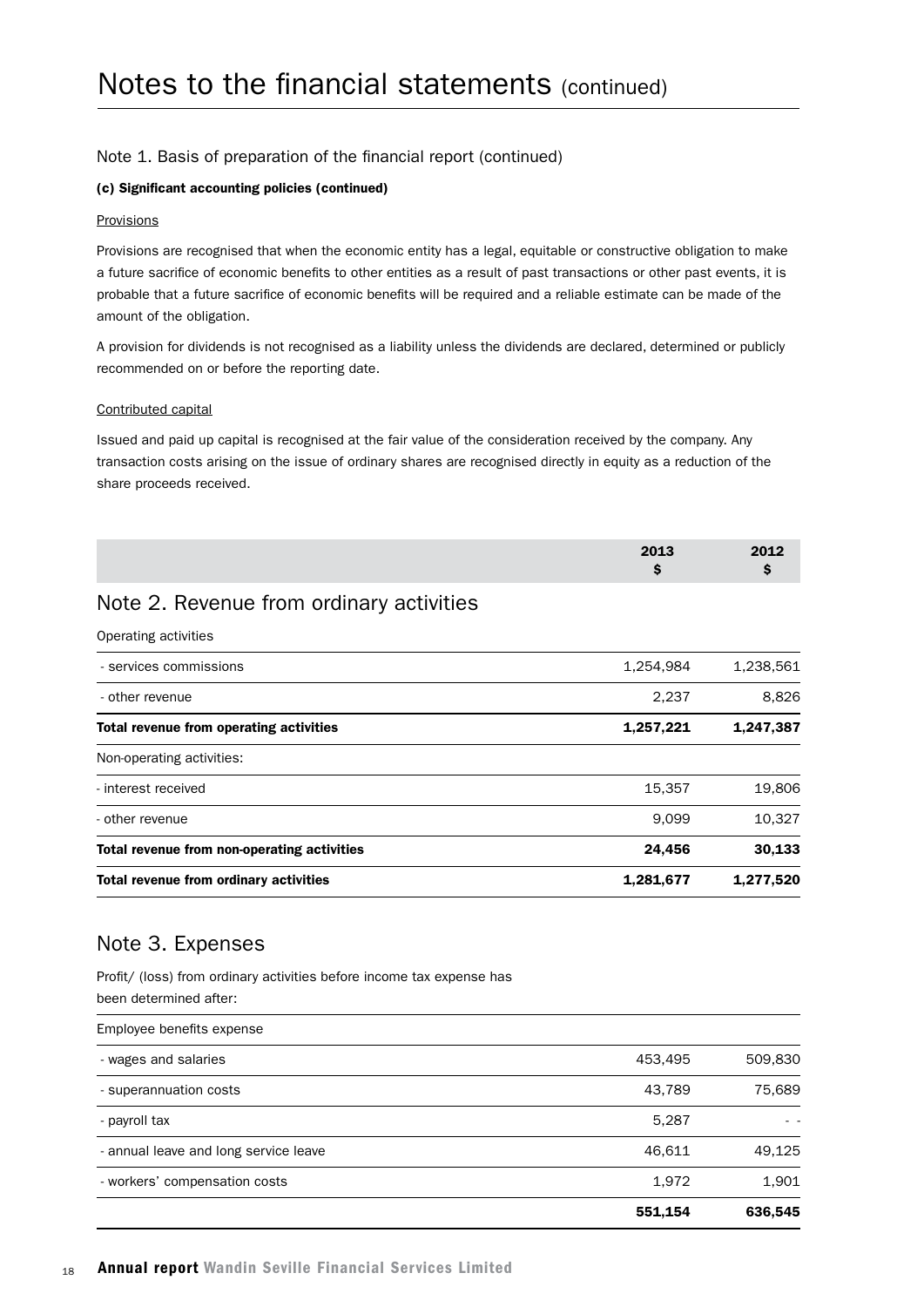#### Note 1. Basis of preparation of the financial report (continued)

#### (c) Significant accounting policies (continued)

#### **Provisions**

Provisions are recognised that when the economic entity has a legal, equitable or constructive obligation to make a future sacrifice of economic benefits to other entities as a result of past transactions or other past events, it is probable that a future sacrifice of economic benefits will be required and a reliable estimate can be made of the amount of the obligation.

A provision for dividends is not recognised as a liability unless the dividends are declared, determined or publicly recommended on or before the reporting date.

#### Contributed capital

Issued and paid up capital is recognised at the fair value of the consideration received by the company. Any transaction costs arising on the issue of ordinary shares are recognised directly in equity as a reduction of the share proceeds received.

|                                             | 2013<br>\$ | 2012<br>\$ |
|---------------------------------------------|------------|------------|
| Note 2. Revenue from ordinary activities    |            |            |
| Operating activities                        |            |            |
| - services commissions                      | 1,254,984  | 1,238,561  |
| - other revenue                             | 2,237      | 8,826      |
| Total revenue from operating activities     | 1,257,221  | 1,247,387  |
| Non-operating activities:                   |            |            |
| - interest received                         | 15,357     | 19,806     |
| - other revenue                             | 9,099      | 10,327     |
| Total revenue from non-operating activities | 24,456     | 30,133     |
| Total revenue from ordinary activities      | 1,281,677  | 1,277,520  |

### Note 3. Expenses

Profit/ (loss) from ordinary activities before income tax expense has been determined after:

| Employee benefits expense             |         |         |
|---------------------------------------|---------|---------|
| - wages and salaries                  | 453,495 | 509,830 |
| - superannuation costs                | 43,789  | 75,689  |
| - payroll tax                         | 5.287   |         |
| - annual leave and long service leave | 46.611  | 49,125  |
| - workers' compensation costs         | 1.972   | 1,901   |
|                                       | 551,154 | 636,545 |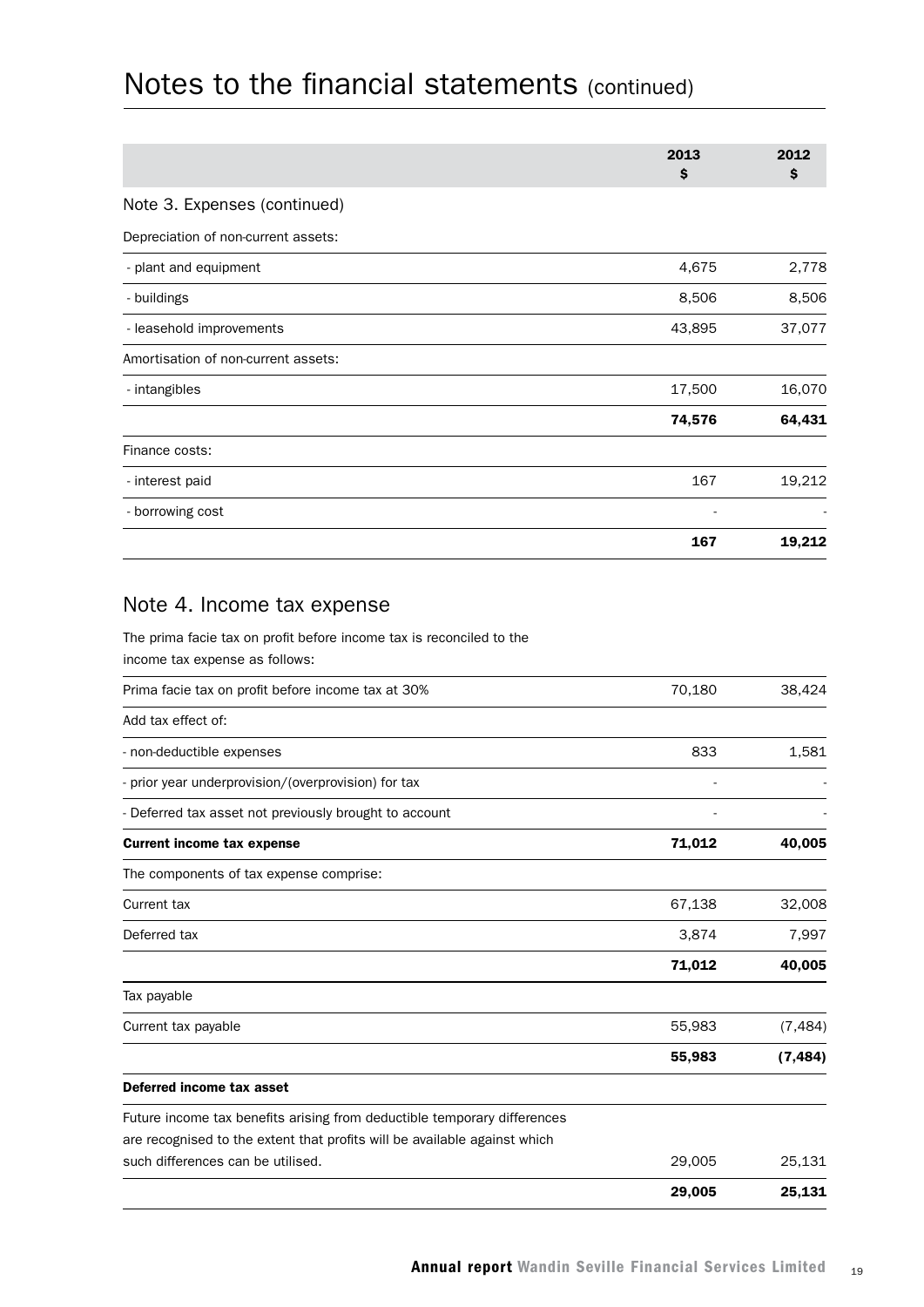|                                     | 2013<br>\$ | 2012<br>\$ |
|-------------------------------------|------------|------------|
| Note 3. Expenses (continued)        |            |            |
| Depreciation of non-current assets: |            |            |
| - plant and equipment               | 4,675      | 2,778      |
| - buildings                         | 8,506      | 8,506      |
| - leasehold improvements            | 43,895     | 37,077     |
| Amortisation of non-current assets: |            |            |
| - intangibles                       | 17,500     | 16,070     |
|                                     | 74,576     | 64,431     |
| Finance costs:                      |            |            |
| - interest paid                     | 167        | 19,212     |
| - borrowing cost                    |            |            |
|                                     | 167        | 19,212     |

### Note 4. Income tax expense

The prima facie tax on profit before income tax is reconciled to the income tax expense as follows:

| Prima facie tax on profit before income tax at 30%                        | 70,180 | 38,424   |
|---------------------------------------------------------------------------|--------|----------|
| Add tax effect of:                                                        |        |          |
| - non-deductible expenses                                                 | 833    | 1,581    |
| - prior year underprovision/(overprovision) for tax                       |        |          |
| - Deferred tax asset not previously brought to account                    |        |          |
| <b>Current income tax expense</b>                                         | 71,012 | 40,005   |
| The components of tax expense comprise:                                   |        |          |
| Current tax                                                               | 67,138 | 32,008   |
| Deferred tax                                                              | 3,874  | 7,997    |
|                                                                           | 71,012 | 40,005   |
| Tax payable                                                               |        |          |
| Current tax payable                                                       | 55,983 | (7, 484) |
|                                                                           | 55,983 | (7, 484) |
| Deferred income tax asset                                                 |        |          |
| Future income tax benefits arising from deductible temporary differences  |        |          |
| are recognised to the extent that profits will be available against which |        |          |
| such differences can be utilised.                                         | 29,005 | 25,131   |
|                                                                           | 29,005 | 25,131   |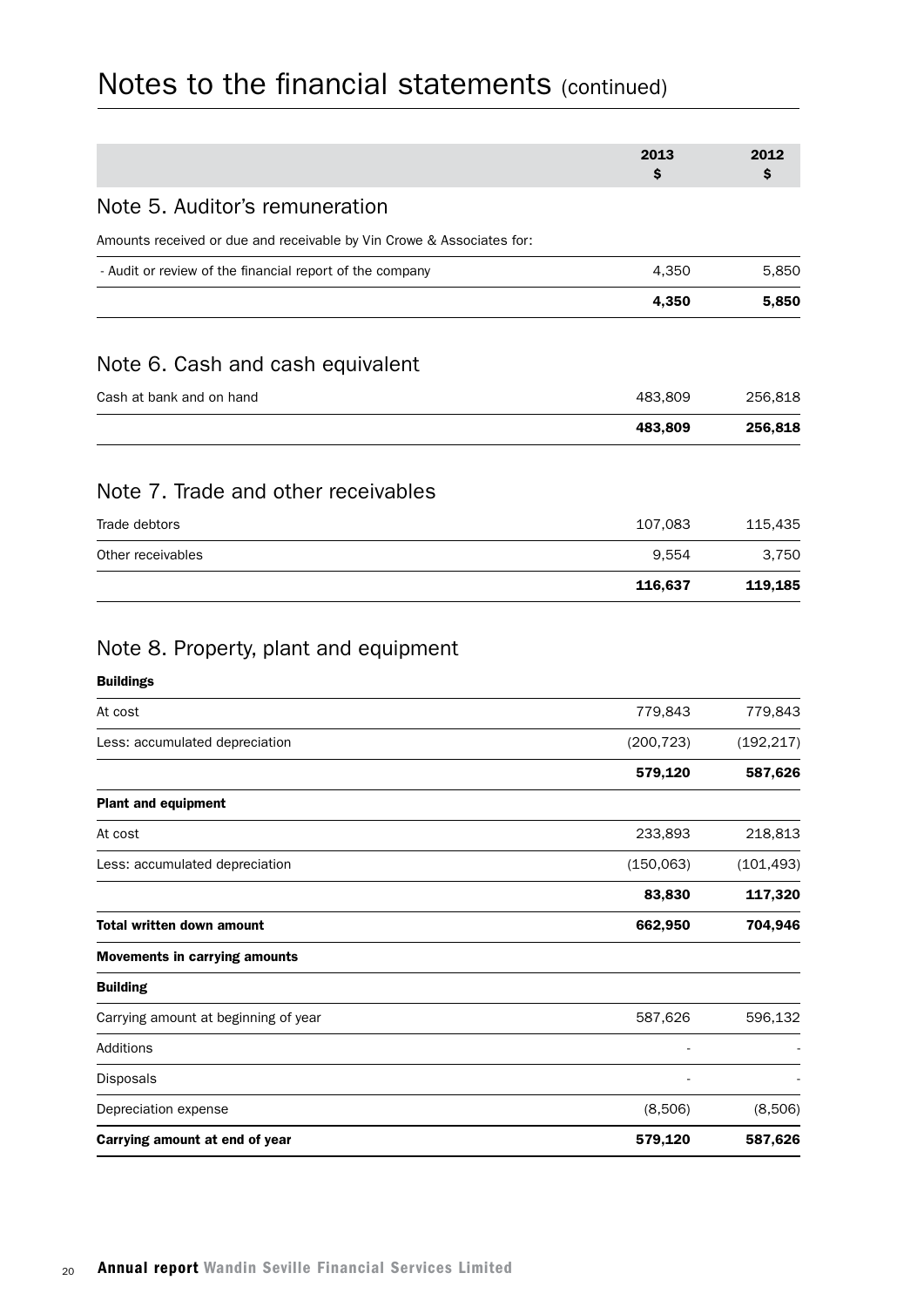|                                                                       | 2013<br>\$ | 2012<br>\$ |
|-----------------------------------------------------------------------|------------|------------|
| Note 5. Auditor's remuneration                                        |            |            |
| Amounts received or due and receivable by Vin Crowe & Associates for: |            |            |
| - Audit or review of the financial report of the company              | 4,350      | 5,850      |
|                                                                       | 4,350      | 5,850      |
| Note 6. Cash and cash equivalent                                      |            |            |
| Cash at bank and on hand                                              | 483,809    | 256,818    |
|                                                                       | 483,809    | 256,818    |
| Note 7. Trade and other receivables                                   |            |            |
| Trade debtors                                                         | 107,083    | 115,435    |
| Other receivables                                                     | 9,554      | 3,750      |
|                                                                       | 116,637    | 119,185    |
| <b>Buildings</b><br>At cost                                           | 779,843    |            |
|                                                                       |            | 779,843    |
| Less: accumulated depreciation                                        | (200, 723) | (192, 217) |
|                                                                       | 579,120    | 587,626    |
| <b>Plant and equipment</b>                                            |            |            |
| At cost                                                               | 233,893    | 218,813    |
| Less: accumulated depreciation                                        | (150, 063) | (101, 493) |
|                                                                       | 83,830     | 117,320    |
| <b>Total written down amount</b>                                      | 662,950    | 704,946    |
| <b>Movements in carrying amounts</b>                                  |            |            |
| <b>Building</b>                                                       |            |            |
| Carrying amount at beginning of year                                  | 587,626    | 596,132    |
| <b>Additions</b>                                                      |            |            |
| Disposals                                                             |            |            |
| Depreciation expense                                                  | (8,506)    | (8,506)    |
| Carrying amount at end of year                                        | 579,120    | 587,626    |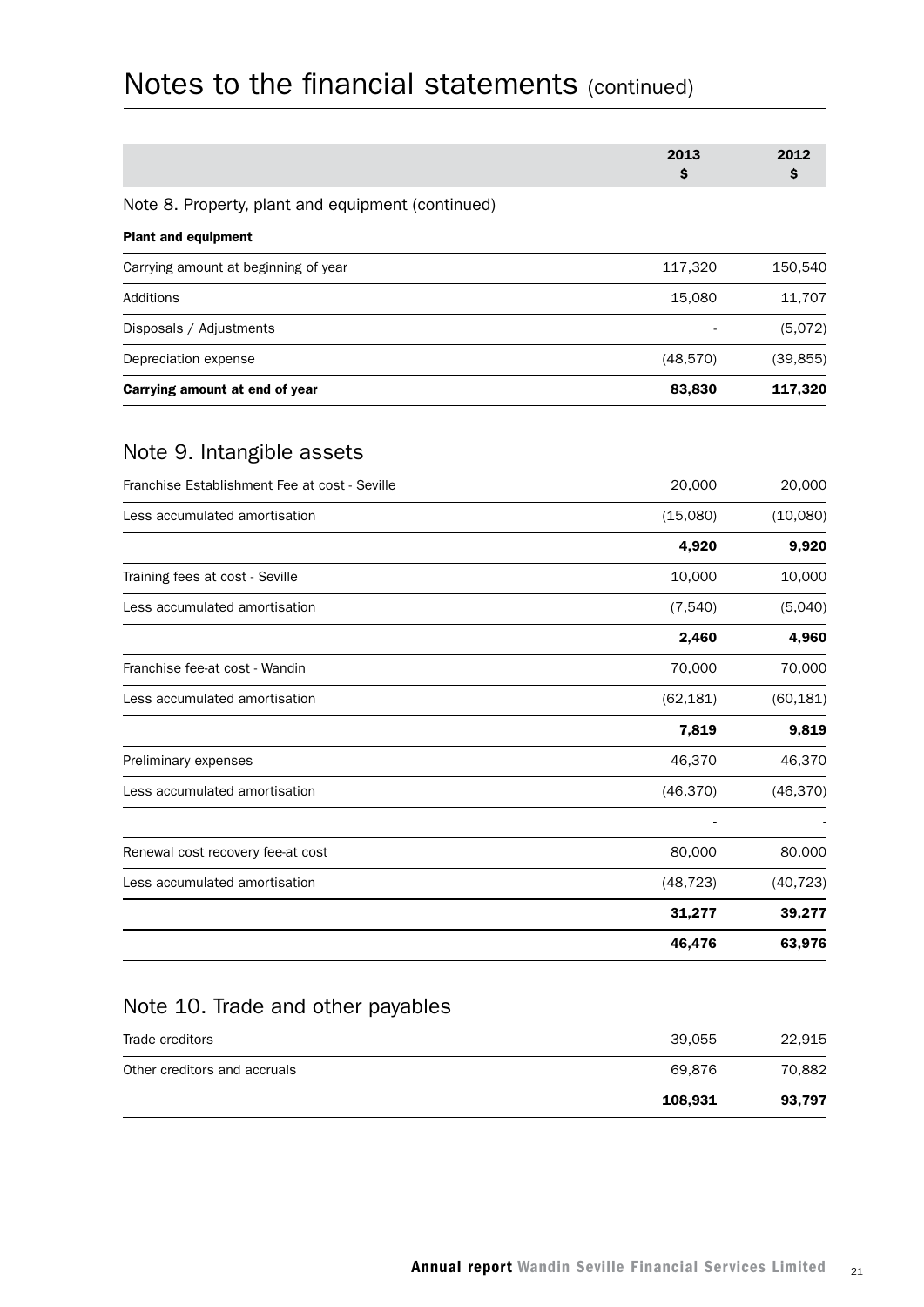|                                                   | 2013<br>\$ | 2012<br>\$ |
|---------------------------------------------------|------------|------------|
| Note 8. Property, plant and equipment (continued) |            |            |
| <b>Plant and equipment</b>                        |            |            |
| Carrying amount at beginning of year              | 117,320    | 150,540    |
| Additions                                         | 15,080     | 11,707     |
| Disposals / Adjustments                           |            | (5,072)    |
| Depreciation expense                              | (48, 570)  | (39, 855)  |
| Carrying amount at end of year                    | 83,830     | 117,320    |
| Note 9. Intangible assets                         |            |            |
| Franchise Establishment Fee at cost - Seville     | 20,000     | 20,000     |
| Less accumulated amortisation                     | (15,080)   | (10,080)   |
|                                                   | 4,920      | 9,920      |
| Training fees at cost - Seville                   | 10,000     | 10,000     |
| Less accumulated amortisation                     | (7, 540)   | (5,040)    |
|                                                   | 2,460      | 4,960      |
| Franchise fee-at cost - Wandin                    | 70,000     | 70,000     |
| Less accumulated amortisation                     | (62, 181)  | (60, 181)  |
|                                                   | 7,819      | 9,819      |
| Preliminary expenses                              | 46,370     | 46,370     |
| Less accumulated amortisation                     | (46, 370)  | (46, 370)  |
| Renewal cost recovery fee-at cost                 | 80,000     | 80,000     |
| Less accumulated amortisation                     | (48, 723)  | (40, 723)  |
|                                                   | 31,277     | 39,277     |
|                                                   | 46,476     | 63,976     |

# Note 10. Trade and other payables

|                              | 108,931 | 93.797 |
|------------------------------|---------|--------|
| Other creditors and accruals | 69.876  | 70,882 |
| Trade creditors              | 39.055  | 22.915 |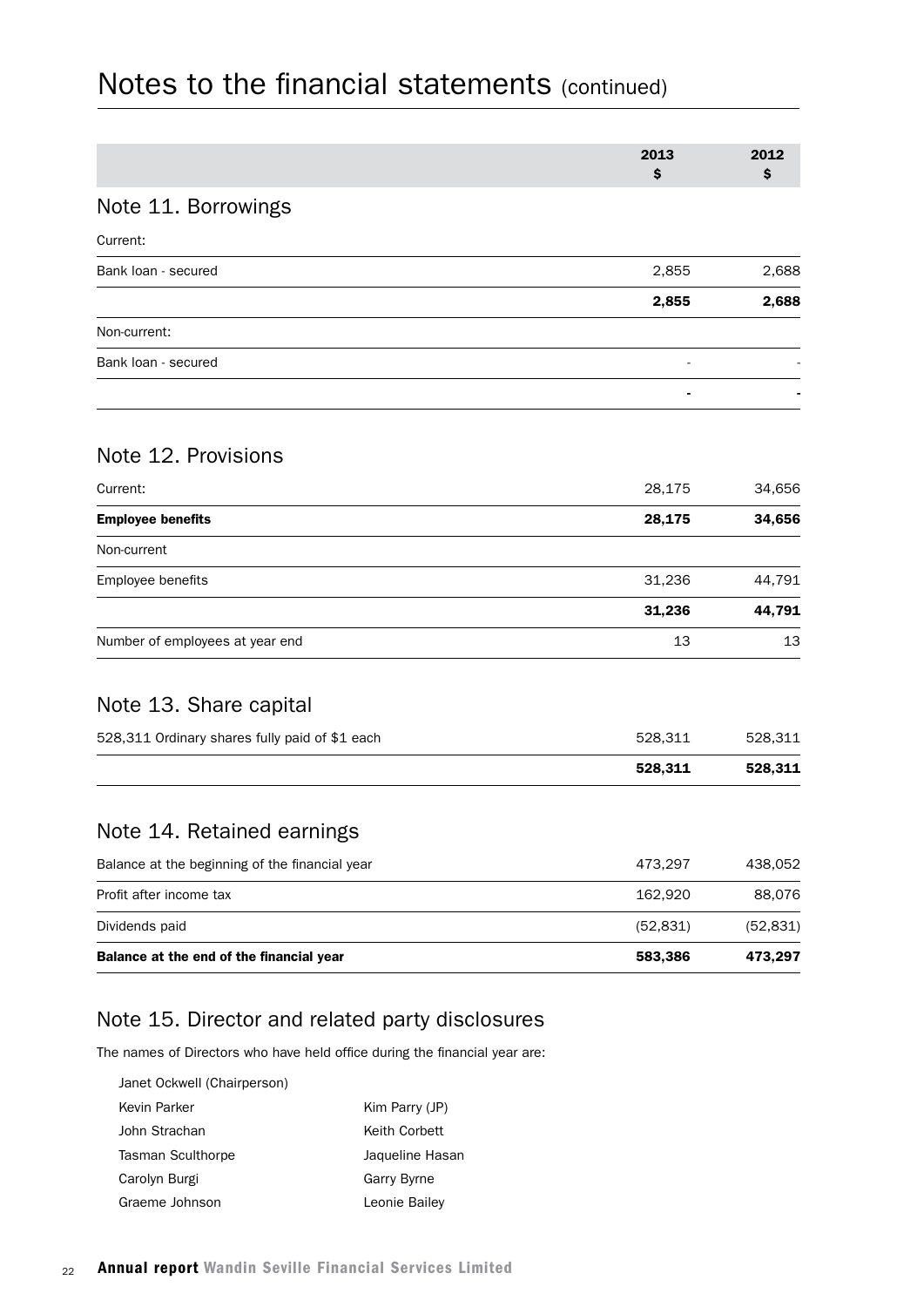|                                                | 2013<br>\$ | 2012<br>\$ |
|------------------------------------------------|------------|------------|
| Note 11. Borrowings                            |            |            |
| Current:                                       |            |            |
| Bank loan - secured                            | 2,855      | 2,688      |
|                                                | 2,855      | 2,688      |
| Non-current:                                   |            |            |
| Bank loan - secured                            |            |            |
|                                                |            |            |
| Note 12. Provisions                            |            |            |
| Current:                                       | 28,175     | 34,656     |
| <b>Employee benefits</b>                       | 28,175     | 34,656     |
| Non-current                                    |            |            |
| Employee benefits                              | 31,236     | 44,791     |
|                                                | 31,236     | 44,791     |
| Number of employees at year end                | 13         | 13         |
| Note 13. Share capital                         |            |            |
| 528,311 Ordinary shares fully paid of \$1 each | 528,311    | 528,311    |
|                                                | 528,311    | 528,311    |
| Note 14. Retained earnings                     |            |            |
| Balance at the beginning of the financial year | 473,297    | 438,052    |
| Profit after income tax                        | 162,920    | 88,076     |
| Dividends paid                                 | (52, 831)  | (52, 831)  |
| Balance at the end of the financial year       | 583,386    | 473,297    |

# Note 15. Director and related party disclosures

The names of Directors who have held office during the financial year are:

| Janet Ockwell (Chairperson) |                 |
|-----------------------------|-----------------|
| Kevin Parker                | Kim Parry (JP)  |
| John Strachan               | Keith Corbett   |
| Tasman Sculthorpe           | Jaqueline Hasan |
| Carolyn Burgi               | Garry Byrne     |
| Graeme Johnson              | Leonie Bailey   |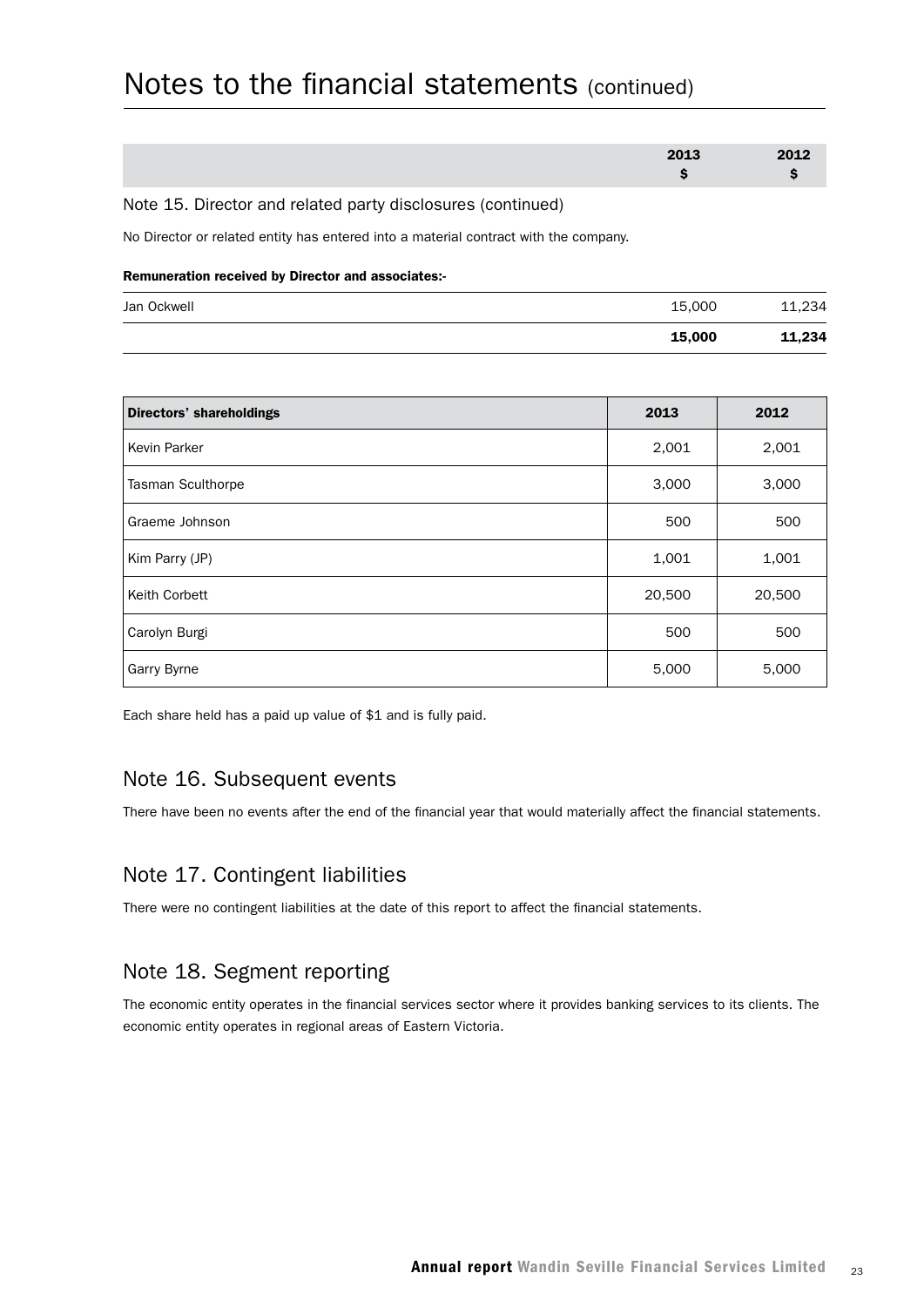| 2013 | 2012 |
|------|------|
|      |      |

#### Note 15. Director and related party disclosures (continued)

No Director or related entity has entered into a material contract with the company.

#### Remuneration received by Director and associates:-

|             | 15,000 | 11,234 |
|-------------|--------|--------|
| Jan Ockwell | 15,000 | 11,234 |

| <b>Directors' shareholdings</b> | 2013   | 2012   |
|---------------------------------|--------|--------|
| Kevin Parker                    | 2,001  | 2,001  |
| Tasman Sculthorpe               | 3,000  | 3,000  |
| Graeme Johnson                  | 500    | 500    |
| Kim Parry (JP)                  | 1,001  | 1,001  |
| Keith Corbett                   | 20,500 | 20,500 |
| Carolyn Burgi                   | 500    | 500    |
| Garry Byrne                     | 5,000  | 5,000  |

Each share held has a paid up value of \$1 and is fully paid.

### Note 16. Subsequent events

There have been no events after the end of the financial year that would materially affect the financial statements.

### Note 17. Contingent liabilities

There were no contingent liabilities at the date of this report to affect the financial statements.

### Note 18. Segment reporting

The economic entity operates in the financial services sector where it provides banking services to its clients. The economic entity operates in regional areas of Eastern Victoria.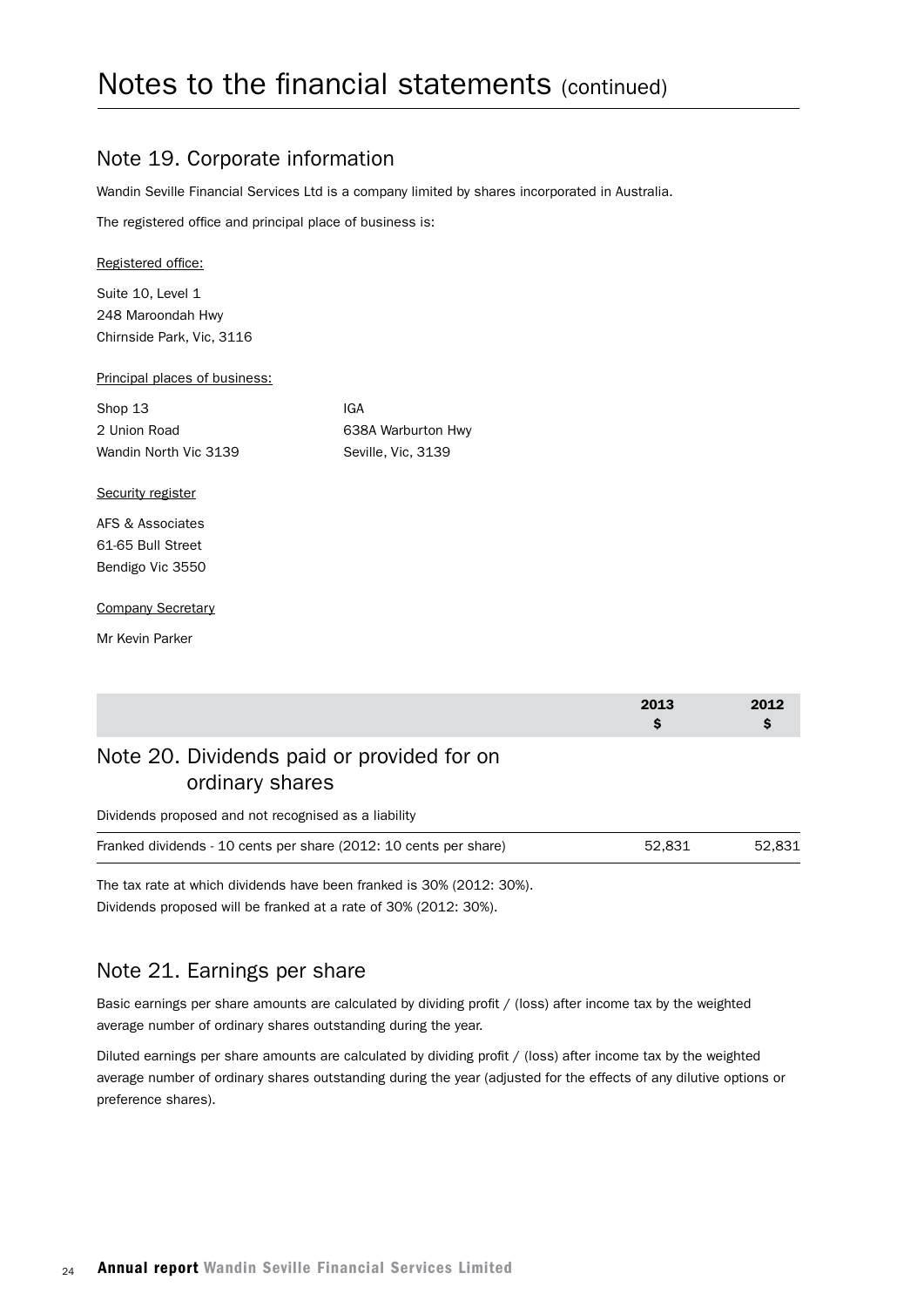### Note 19. Corporate information

Wandin Seville Financial Services Ltd is a company limited by shares incorporated in Australia.

The registered office and principal place of business is:

#### Registered office:

Suite 10, Level 1 248 Maroondah Hwy Chirnside Park, Vic, 3116

Principal places of business:

Shop 13 IGA 2 Union Road 638A Warburton Hwy Wandin North Vic 3139 Seville, Vic, 3139

Security register

AFS & Associates 61-65 Bull Street Bendigo Vic 3550

#### Company Secretary

Mr Kevin Parker

|                                                                            | 2013<br>Ş | 2012<br>Ş |
|----------------------------------------------------------------------------|-----------|-----------|
| Note 20. Dividends paid or provided for on<br>ordinary shares              |           |           |
| Dividends proposed and not recognised as a liability                       |           |           |
| Franked dividends - 10 cents per share (2012: 10 cents per share)          | 52.831    | 52,831    |
| The tax rate at which dividends have been franked is $30\%$ (2012: $30\%)$ |           |           |

tax rate at which dividends have been franked is 30% (2012: 30%). Dividends proposed will be franked at a rate of 30% (2012: 30%).

### Note 21. Earnings per share

Basic earnings per share amounts are calculated by dividing profit / (loss) after income tax by the weighted average number of ordinary shares outstanding during the year.

Diluted earnings per share amounts are calculated by dividing profit / (loss) after income tax by the weighted average number of ordinary shares outstanding during the year (adjusted for the effects of any dilutive options or preference shares).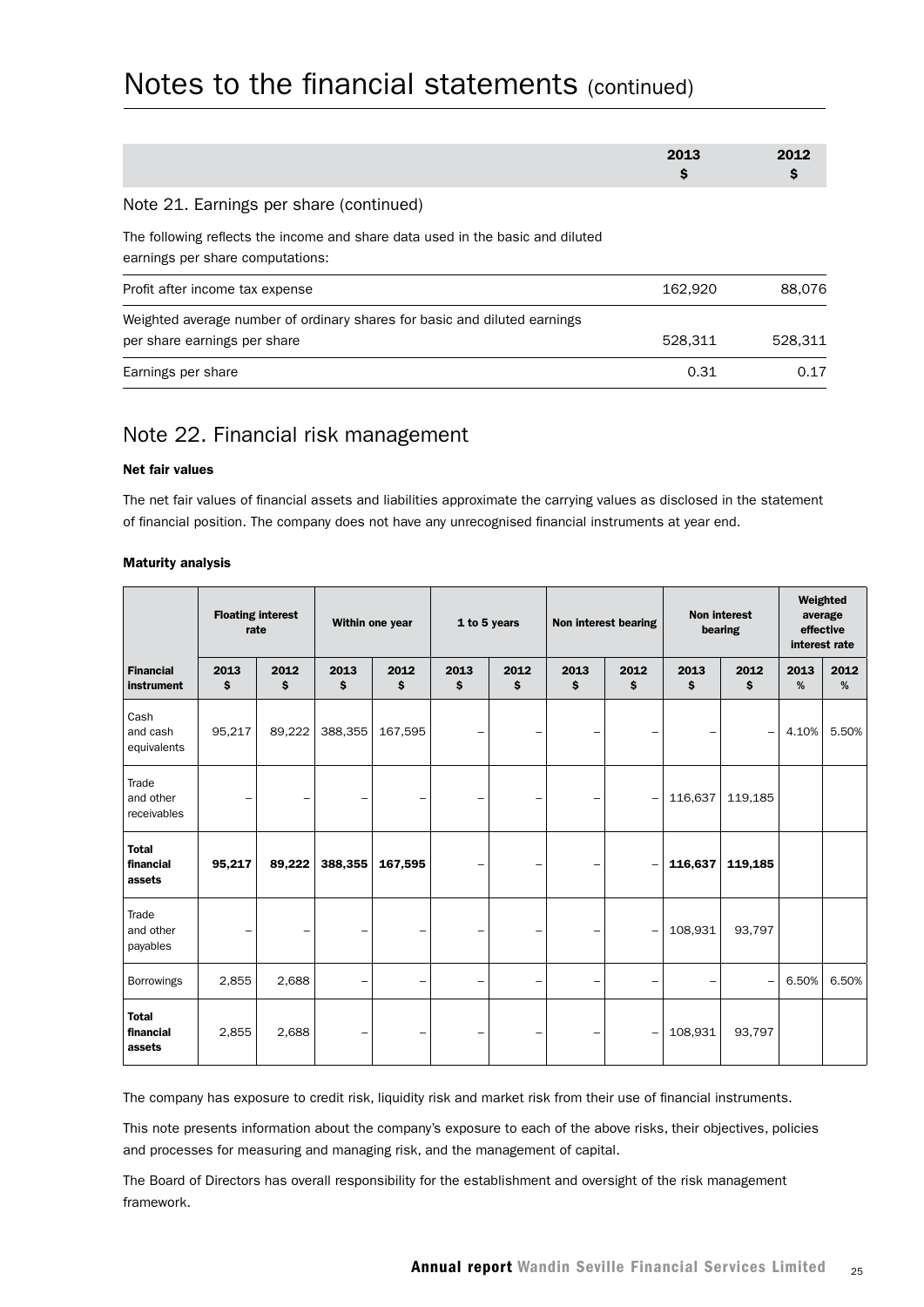|                                                                                                                    | 2013<br>Ş | 2012<br>Ş |
|--------------------------------------------------------------------------------------------------------------------|-----------|-----------|
| Note 21. Earnings per share (continued)                                                                            |           |           |
| The following reflects the income and share data used in the basic and diluted<br>earnings per share computations: |           |           |
| Profit after income tax expense                                                                                    | 162,920   | 88,076    |
| Weighted average number of ordinary shares for basic and diluted earnings                                          |           |           |
| per share earnings per share                                                                                       | 528.311   | 528.311   |
| Earnings per share                                                                                                 | 0.31      | 0.17      |

### Note 22. Financial risk management

#### Net fair values

The net fair values of financial assets and liabilities approximate the carrying values as disclosed in the statement of financial position. The company does not have any unrecognised financial instruments at year end.

| <b>Maturity analysis</b> |  |
|--------------------------|--|
|--------------------------|--|

|                                     | rate       | <b>Floating interest</b> | Within one year |            | 1 to 5 years |            | Non interest bearing |                          |            | <b>Non interest</b><br>bearing | Weighted<br>average<br>effective<br>interest rate |           |
|-------------------------------------|------------|--------------------------|-----------------|------------|--------------|------------|----------------------|--------------------------|------------|--------------------------------|---------------------------------------------------|-----------|
| <b>Financial</b><br>instrument      | 2013<br>\$ | 2012<br>\$               | 2013<br>\$      | 2012<br>\$ | 2013<br>\$   | 2012<br>\$ | 2013<br>\$           | 2012<br>\$               | 2013<br>\$ | 2012<br>\$                     | 2013<br>%                                         | 2012<br>% |
| Cash<br>and cash<br>equivalents     | 95,217     | 89,222                   | 388,355         | 167,595    |              |            |                      |                          |            | $\overline{\phantom{0}}$       | 4.10%                                             | 5.50%     |
| Trade<br>and other<br>receivables   |            |                          |                 |            |              |            |                      | $\qquad \qquad -$        | 116,637    | 119,185                        |                                                   |           |
| <b>Total</b><br>financial<br>assets | 95,217     | 89,222                   | 388,355         | 167,595    |              |            |                      | $\qquad \qquad -$        | 116,637    | 119,185                        |                                                   |           |
| Trade<br>and other<br>payables      |            | -                        |                 |            |              |            |                      | $\overline{\phantom{0}}$ | 108,931    | 93,797                         |                                                   |           |
| <b>Borrowings</b>                   | 2,855      | 2,688                    | -               | -          |              |            | -                    | -                        |            | $\qquad \qquad -$              | 6.50%                                             | 6.50%     |
| <b>Total</b><br>financial<br>assets | 2,855      | 2,688                    | -               |            |              |            |                      | $\qquad \qquad -$        | 108,931    | 93,797                         |                                                   |           |

The company has exposure to credit risk, liquidity risk and market risk from their use of financial instruments.

This note presents information about the company's exposure to each of the above risks, their objectives, policies and processes for measuring and managing risk, and the management of capital.

The Board of Directors has overall responsibility for the establishment and oversight of the risk management framework.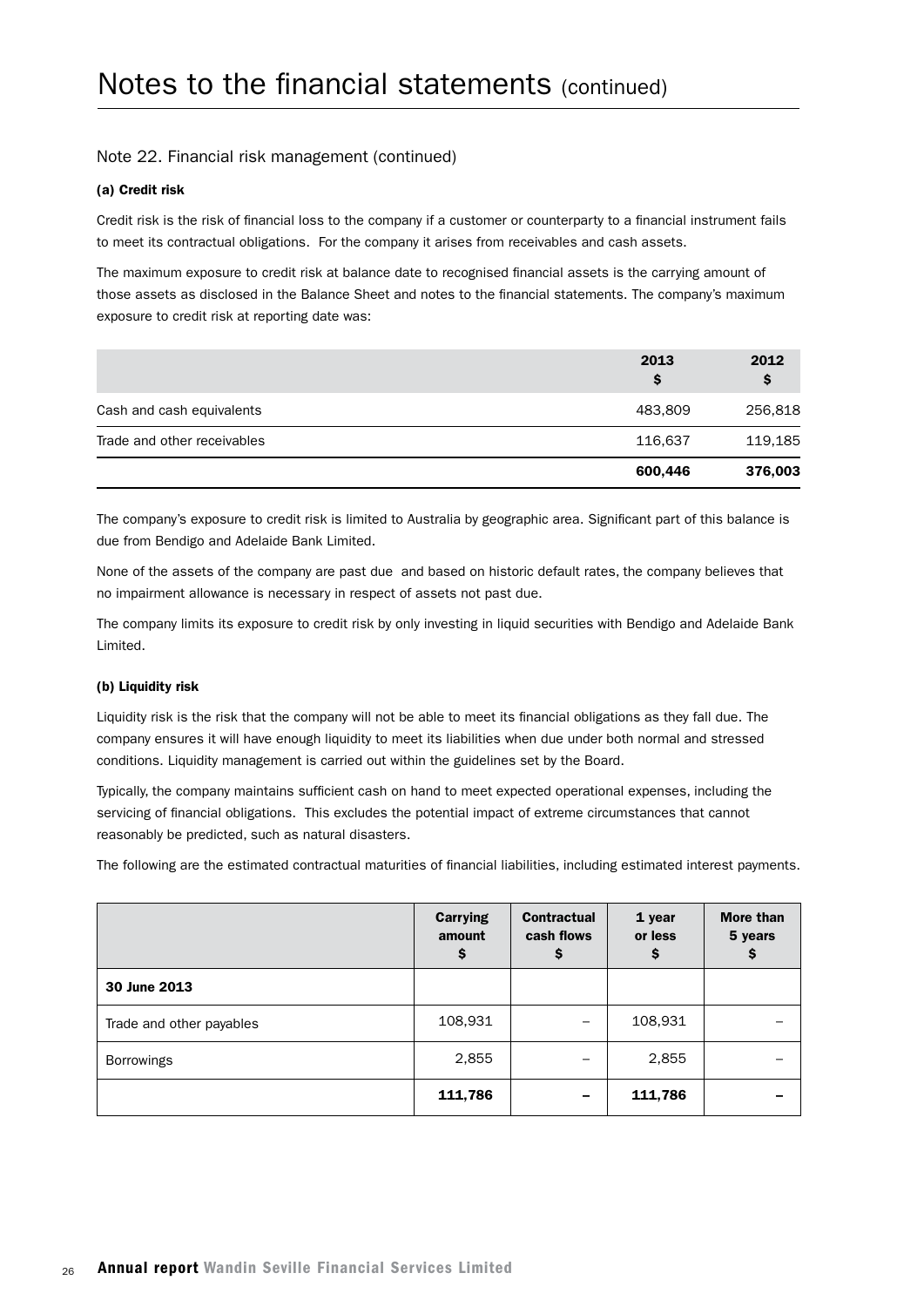#### Note 22. Financial risk management (continued)

#### (a) Credit risk

Credit risk is the risk of financial loss to the company if a customer or counterparty to a financial instrument fails to meet its contractual obligations. For the company it arises from receivables and cash assets.

The maximum exposure to credit risk at balance date to recognised financial assets is the carrying amount of those assets as disclosed in the Balance Sheet and notes to the financial statements. The company's maximum exposure to credit risk at reporting date was:

|                             | 2013    | 2012    |
|-----------------------------|---------|---------|
| Cash and cash equivalents   | 483,809 | 256,818 |
| Trade and other receivables | 116,637 | 119,185 |
|                             | 600,446 | 376,003 |

The company's exposure to credit risk is limited to Australia by geographic area. Significant part of this balance is due from Bendigo and Adelaide Bank Limited.

None of the assets of the company are past due and based on historic default rates, the company believes that no impairment allowance is necessary in respect of assets not past due.

The company limits its exposure to credit risk by only investing in liquid securities with Bendigo and Adelaide Bank Limited.

#### (b) Liquidity risk

Liquidity risk is the risk that the company will not be able to meet its financial obligations as they fall due. The company ensures it will have enough liquidity to meet its liabilities when due under both normal and stressed conditions. Liquidity management is carried out within the guidelines set by the Board.

Typically, the company maintains sufficient cash on hand to meet expected operational expenses, including the servicing of financial obligations. This excludes the potential impact of extreme circumstances that cannot reasonably be predicted, such as natural disasters.

The following are the estimated contractual maturities of financial liabilities, including estimated interest payments.

|                          | <b>Carrying</b><br>amount<br>\$ | <b>Contractual</b><br>cash flows<br>Ş | 1 year<br>or less | More than<br>5 years<br>\$ |
|--------------------------|---------------------------------|---------------------------------------|-------------------|----------------------------|
| 30 June 2013             |                                 |                                       |                   |                            |
| Trade and other payables | 108,931                         |                                       | 108,931           |                            |
| <b>Borrowings</b>        | 2,855                           |                                       | 2,855             |                            |
|                          | 111,786                         |                                       | 111,786           |                            |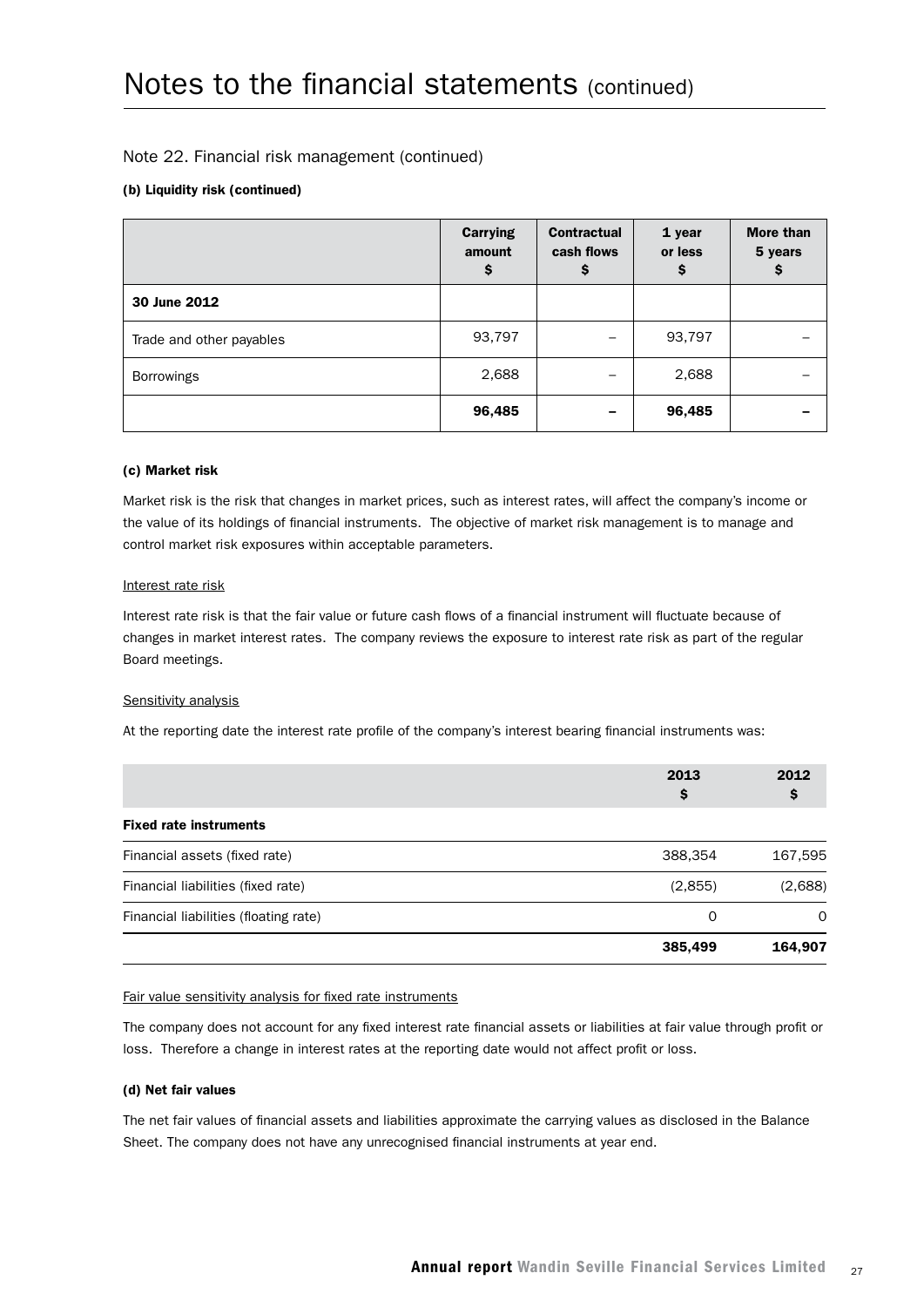#### Note 22. Financial risk management (continued)

#### (b) Liquidity risk (continued)

|                          | <b>Carrying</b><br>amount<br>\$ | <b>Contractual</b><br>cash flows<br>Ş | 1 year<br>or less | More than<br>5 years<br>\$ |
|--------------------------|---------------------------------|---------------------------------------|-------------------|----------------------------|
| 30 June 2012             |                                 |                                       |                   |                            |
| Trade and other payables | 93,797                          |                                       | 93,797            |                            |
| <b>Borrowings</b>        | 2,688                           | -                                     | 2,688             |                            |
|                          | 96,485                          |                                       | 96,485            |                            |

#### (c) Market risk

Market risk is the risk that changes in market prices, such as interest rates, will affect the company's income or the value of its holdings of financial instruments. The objective of market risk management is to manage and control market risk exposures within acceptable parameters.

#### Interest rate risk

Interest rate risk is that the fair value or future cash flows of a financial instrument will fluctuate because of changes in market interest rates. The company reviews the exposure to interest rate risk as part of the regular Board meetings.

#### Sensitivity analysis

At the reporting date the interest rate profile of the company's interest bearing financial instruments was:

|                                       | 2013<br>Ş | 2012<br>P |
|---------------------------------------|-----------|-----------|
| <b>Fixed rate instruments</b>         |           |           |
| Financial assets (fixed rate)         | 388,354   | 167,595   |
| Financial liabilities (fixed rate)    | (2,855)   | (2,688)   |
| Financial liabilities (floating rate) | 0         | 0         |
|                                       | 385,499   | 164,907   |

#### Fair value sensitivity analysis for fixed rate instruments

The company does not account for any fixed interest rate financial assets or liabilities at fair value through profit or loss. Therefore a change in interest rates at the reporting date would not affect profit or loss.

#### (d) Net fair values

The net fair values of financial assets and liabilities approximate the carrying values as disclosed in the Balance Sheet. The company does not have any unrecognised financial instruments at year end.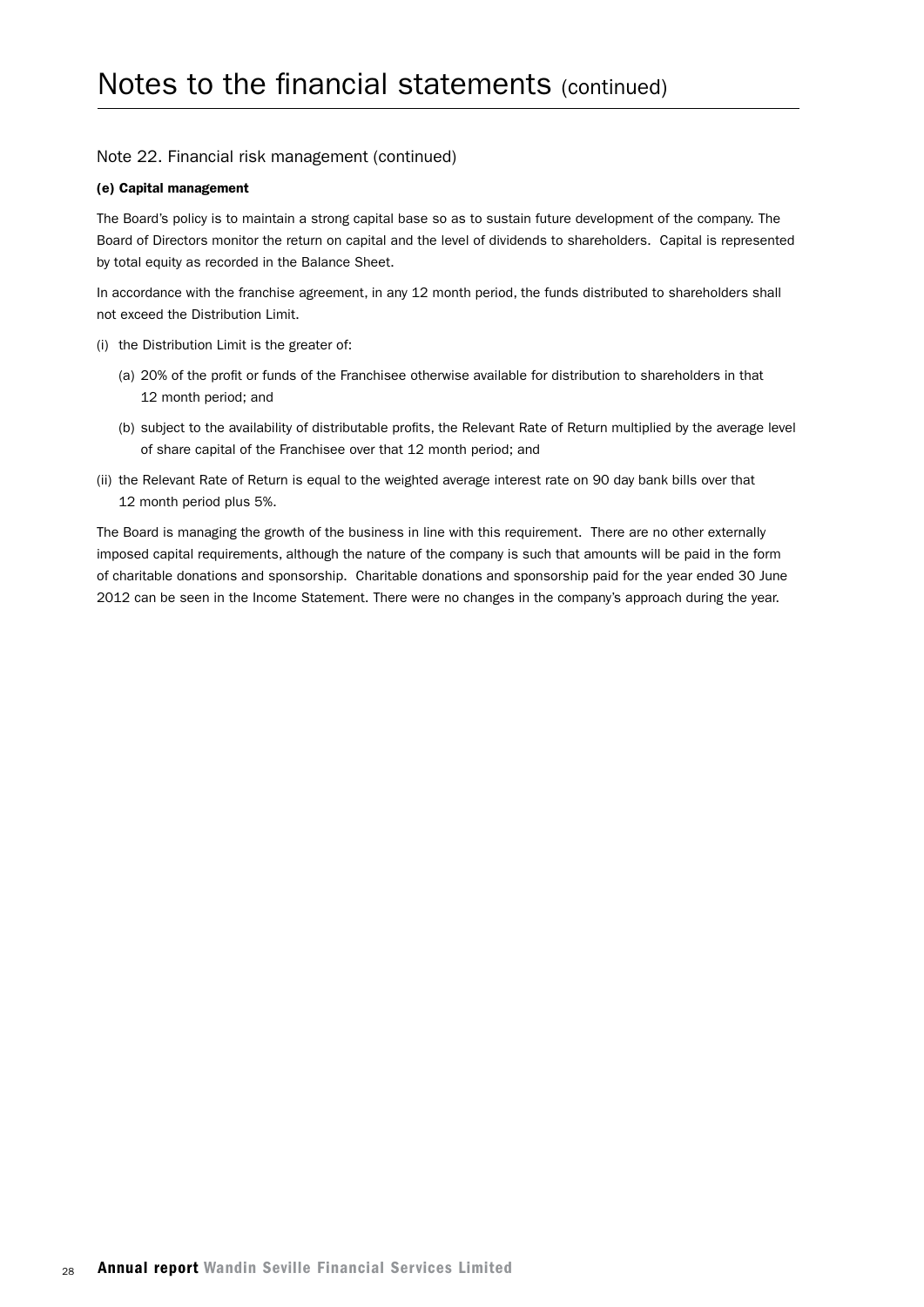#### Note 22. Financial risk management (continued)

#### (e) Capital management

The Board's policy is to maintain a strong capital base so as to sustain future development of the company. The Board of Directors monitor the return on capital and the level of dividends to shareholders. Capital is represented by total equity as recorded in the Balance Sheet.

In accordance with the franchise agreement, in any 12 month period, the funds distributed to shareholders shall not exceed the Distribution Limit.

- (i) the Distribution Limit is the greater of:
	- (a) 20% of the profit or funds of the Franchisee otherwise available for distribution to shareholders in that 12 month period; and
	- (b) subject to the availability of distributable profits, the Relevant Rate of Return multiplied by the average level of share capital of the Franchisee over that 12 month period; and
- (ii) the Relevant Rate of Return is equal to the weighted average interest rate on 90 day bank bills over that 12 month period plus 5%.

The Board is managing the growth of the business in line with this requirement. There are no other externally imposed capital requirements, although the nature of the company is such that amounts will be paid in the form of charitable donations and sponsorship. Charitable donations and sponsorship paid for the year ended 30 June 2012 can be seen in the Income Statement. There were no changes in the company's approach during the year.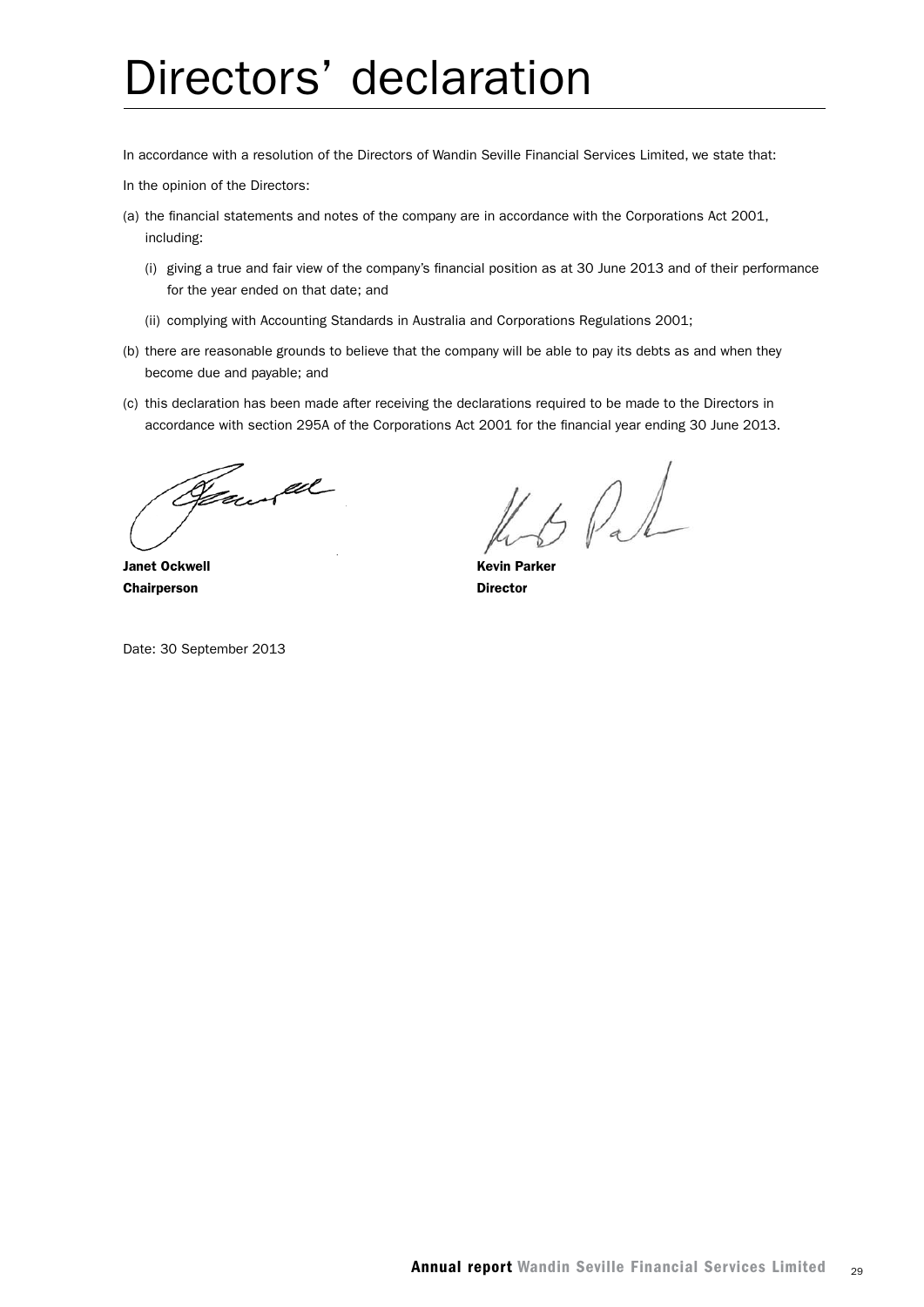# Directors' declaration

In accordance with a resolution of the Directors of Wandin Seville Financial Services Limited, we state that:

In the opinion of the Directors:

- (a) the financial statements and notes of the company are in accordance with the Corporations Act 2001, including:
	- (i) giving a true and fair view of the company's financial position as at 30 June 2013 and of their performance for the year ended on that date; and
	- (ii) complying with Accounting Standards in Australia and Corporations Regulations 2001;
- (b) there are reasonable grounds to believe that the company will be able to pay its debts as and when they become due and payable; and
- (c) this declaration has been made after receiving the declarations required to be made to the Directors in accordance with section 295A of the Corporations Act 2001 for the financial year ending 30 June 2013.

General

Janet Ockwell **Kevin Parker** Kevin Parker **Chairperson** Director

Date: 30 September 2013

 $5$  Pal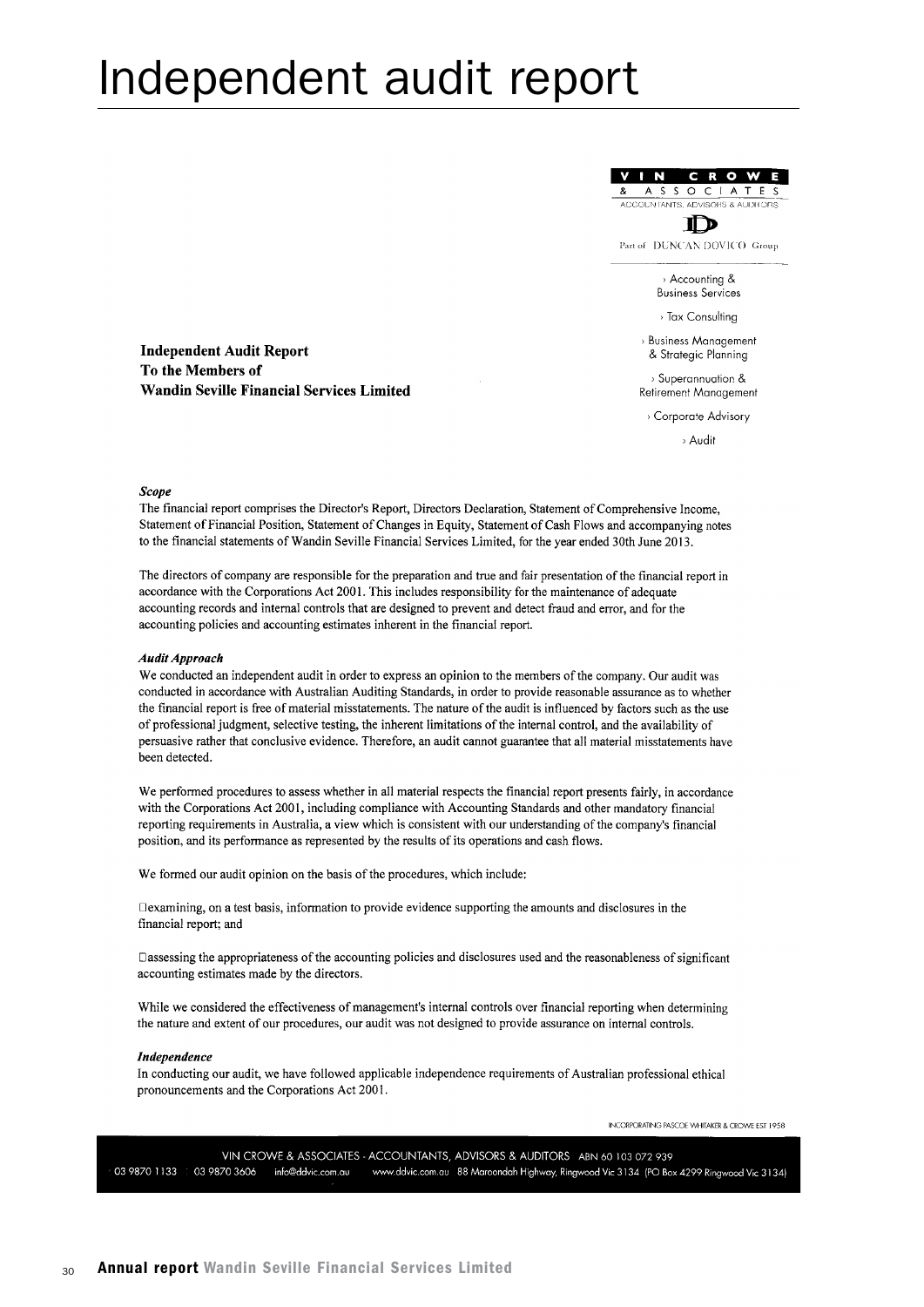# Independent audit report

**Independent Audit Report To the Members of Wandin Seville Financial Services Limited** 

IN CROW ASSOCIATES ACCOUNTANTS, ADVISORS & AUDITORS

D Part of DUNCAN DOVICO Group

> > Accounting & **Business Services**

> Tax Consulting

> Business Management & Strategic Planning

> Superannuation & Retirement Management

> Corporate Advisory

> Audit

#### **Scope**

The financial report comprises the Director's Report, Directors Declaration, Statement of Comprehensive Income, Statement of Financial Position, Statement of Changes in Equity, Statement of Cash Flows and accompanying notes to the financial statements of Wandin Seville Financial Services Limited, for the year ended 30th June 2013.

The directors of company are responsible for the preparation and true and fair presentation of the financial report in accordance with the Corporations Act 2001. This includes responsibility for the maintenance of adequate accounting records and internal controls that are designed to prevent and detect fraud and error, and for the accounting policies and accounting estimates inherent in the financial report.

#### **Audit Approach**

We conducted an independent audit in order to express an opinion to the members of the company. Our audit was conducted in accordance with Australian Auditing Standards, in order to provide reasonable assurance as to whether the financial report is free of material misstatements. The nature of the audit is influenced by factors such as the use of professional judgment, selective testing, the inherent limitations of the internal control, and the availability of persuasive rather that conclusive evidence. Therefore, an audit cannot guarantee that all material misstatements have been detected.

We performed procedures to assess whether in all material respects the financial report presents fairly, in accordance with the Corporations Act 2001, including compliance with Accounting Standards and other mandatory financial reporting requirements in Australia, a view which is consistent with our understanding of the company's financial position, and its performance as represented by the results of its operations and cash flows.

We formed our audit opinion on the basis of the procedures, which include:

□ examining, on a test basis, information to provide evidence supporting the amounts and disclosures in the financial report; and

□assessing the appropriateness of the accounting policies and disclosures used and the reasonableness of significant accounting estimates made by the directors.

While we considered the effectiveness of management's internal controls over financial reporting when determining the nature and extent of our procedures, our audit was not designed to provide assurance on internal controls.

#### Independence

In conducting our audit, we have followed applicable independence requirements of Australian professional ethical pronouncements and the Corporations Act 2001.

**INCORPORATING PASCOE WHITAKER & CROWE EST 1958** 

VIN CROWE & ASSOCIATES - ACCOUNTANTS, ADVISORS & AUDITORS ABN 60 103 072 939 03 9870 1133 03 9870 3606 info@ddvic.com.au www.ddvic.com.au 88 Maroondah Highway, Ringwood Vic 3134 (PO Box 4299 Ringwood Vic 3134)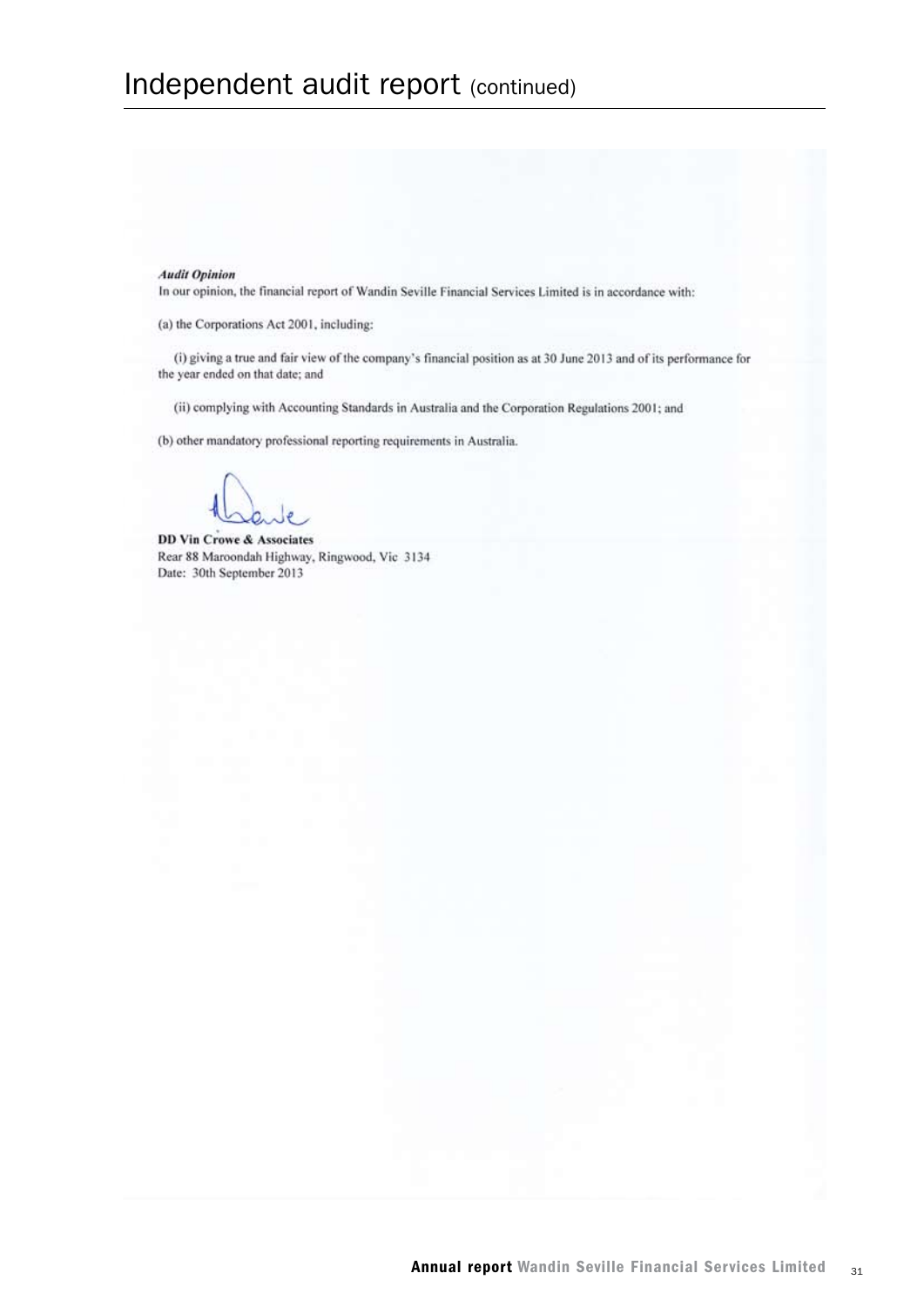# Independent audit report (continued)

#### **Audit Opinion**

In our opinion, the financial report of Wandin Seville Financial Services Limited is in accordance with:

(a) the Corporations Act 2001, including:

(i) giving a true and fair view of the company's financial position as at 30 June 2013 and of its performance for the year ended on that date; and

(ii) complying with Accounting Standards in Australia and the Corporation Regulations 2001; and

(b) other mandatory professional reporting requirements in Australia.

**DD Vin Crowe & Associates** Rear 88 Maroondah Highway, Ringwood, Vic 3134 Date: 30th September 2013